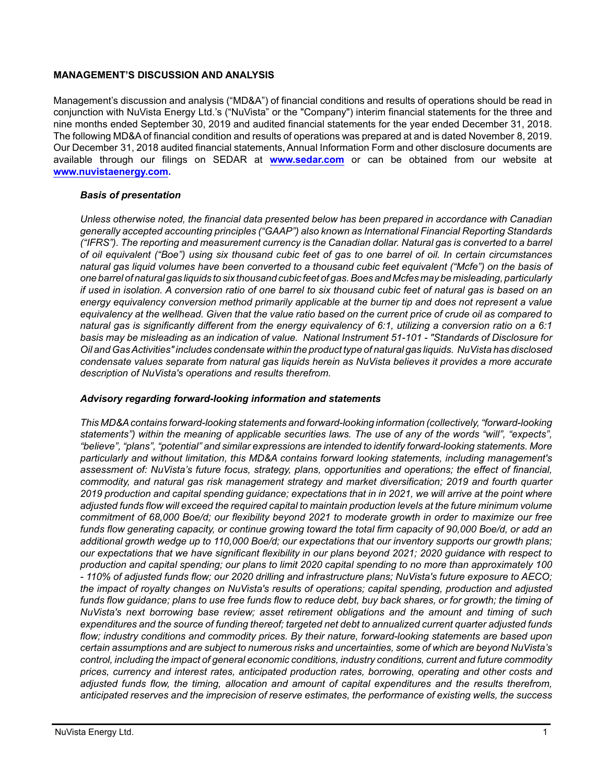### **MANAGEMENT'S DISCUSSION AND ANALYSIS**

Management's discussion and analysis ("MD&A") of financial conditions and results of operations should be read in conjunction with NuVista Energy Ltd.'s ("NuVista" or the "Company") interim financial statements for the three and nine months ended September 30, 2019 and audited financial statements for the year ended December 31, 2018. The following MD&A of financial condition and results of operations was prepared at and is dated November 8, 2019. Our December 31, 2018 audited financial statements, Annual Information Form and other disclosure documents are available through our filings on SEDAR at **[www.sedar.com](http://www.sedar.com)** or can be obtained from our website at **[www.nuvistaenergy.com](http://www.nuvistaenergy.com).** 

# *Basis of presentation*

*Unless otherwise noted, the financial data presented below has been prepared in accordance with Canadian generally accepted accounting principles ("GAAP") also known as International Financial Reporting Standards ("IFRS"). The reporting and measurement currency is the Canadian dollar. Natural gas is converted to a barrel of oil equivalent ("Boe") using six thousand cubic feet of gas to one barrel of oil. In certain circumstances natural gas liquid volumes have been converted to a thousand cubic feet equivalent ("Mcfe") on the basis of one barrel of natural gas liquids to six thousand cubic feet of gas. Boes and Mcfes may be misleading, particularly if used in isolation. A conversion ratio of one barrel to six thousand cubic feet of natural gas is based on an energy equivalency conversion method primarily applicable at the burner tip and does not represent a value equivalency at the wellhead. Given that the value ratio based on the current price of crude oil as compared to natural gas is significantly different from the energy equivalency of 6:1, utilizing a conversion ratio on a 6:1 basis may be misleading as an indication of value. National Instrument 51-101 - "Standards of Disclosure for Oil and Gas Activities" includes condensate within the product type of natural gas liquids. NuVista has disclosed condensate values separate from natural gas liquids herein as NuVista believes it provides a more accurate description of NuVista's operations and results therefrom.* 

### *Advisory regarding forward-looking information and statements*

*This MD&A contains forward-looking statements and forward-looking information (collectively, "forward-looking statements") within the meaning of applicable securities laws. The use of any of the words "will", "expects", "believe", "plans", "potential" and similar expressions are intended to identify forward-looking statements. More particularly and without limitation, this MD&A contains forward looking statements, including management's assessment of: NuVista's future focus, strategy, plans, opportunities and operations; the effect of financial, commodity, and natural gas risk management strategy and market diversification; 2019 and fourth quarter 2019 production and capital spending guidance; expectations that in in 2021, we will arrive at the point where adjusted funds flow will exceed the required capital to maintain production levels at the future minimum volume commitment of 68,000 Boe/d; our flexibility beyond 2021 to moderate growth in order to maximize our free funds flow generating capacity, or continue growing toward the total firm capacity of 90,000 Boe/d, or add an additional growth wedge up to 110,000 Boe/d; our expectations that our inventory supports our growth plans; our expectations that we have significant flexibility in our plans beyond 2021; 2020 guidance with respect to production and capital spending; our plans to limit 2020 capital spending to no more than approximately 100 - 110% of adjusted funds flow; our 2020 drilling and infrastructure plans; NuVista's future exposure to AECO; the impact of royalty changes on NuVista's results of operations; capital spending, production and adjusted funds flow guidance; plans to use free funds flow to reduce debt, buy back shares, or for growth; the timing of NuVista's next borrowing base review; asset retirement obligations and the amount and timing of such expenditures and the source of funding thereof; targeted net debt to annualized current quarter adjusted funds flow; industry conditions and commodity prices. By their nature, forward-looking statements are based upon certain assumptions and are subject to numerous risks and uncertainties, some of which are beyond NuVista's control, including the impact of general economic conditions, industry conditions, current and future commodity prices, currency and interest rates, anticipated production rates, borrowing, operating and other costs and adjusted funds flow, the timing, allocation and amount of capital expenditures and the results therefrom, anticipated reserves and the imprecision of reserve estimates, the performance of existing wells, the success*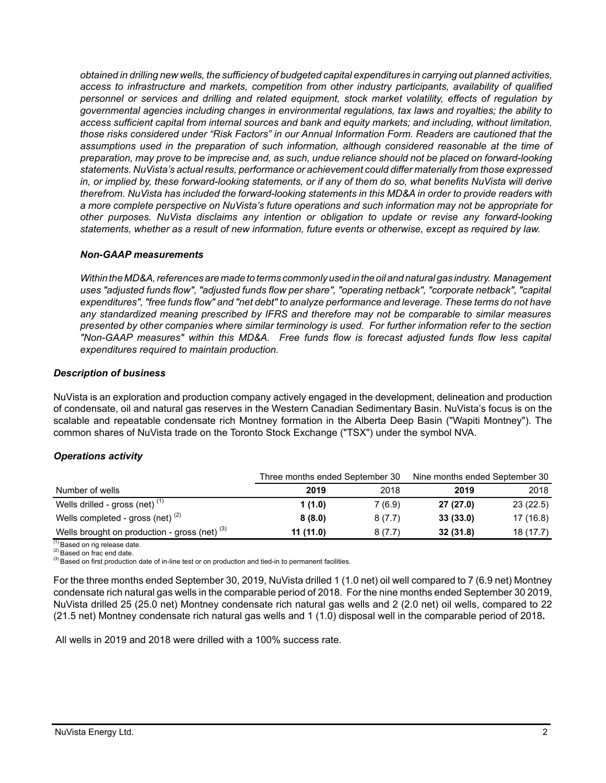*obtained in drilling new wells, the sufficiency of budgeted capital expenditures in carrying out planned activities, access to infrastructure and markets, competition from other industry participants, availability of qualified personnel or services and drilling and related equipment, stock market volatility, effects of regulation by governmental agencies including changes in environmental regulations, tax laws and royalties; the ability to access sufficient capital from internal sources and bank and equity markets; and including, without limitation, those risks considered under "Risk Factors" in our Annual Information Form. Readers are cautioned that the assumptions used in the preparation of such information, although considered reasonable at the time of preparation, may prove to be imprecise and, as such, undue reliance should not be placed on forward-looking statements. NuVista's actual results, performance or achievement could differ materially from those expressed in, or implied by, these forward-looking statements, or if any of them do so, what benefits NuVista will derive therefrom. NuVista has included the forward-looking statements in this MD&A in order to provide readers with a more complete perspective on NuVista's future operations and such information may not be appropriate for other purposes. NuVista disclaims any intention or obligation to update or revise any forward-looking statements, whether as a result of new information, future events or otherwise, except as required by law.*

#### *Non-GAAP measurements*

*Within the MD&A, references are made to terms commonly used in the oil and natural gas industry. Management uses "adjusted funds flow", "adjusted funds flow per share", "operating netback", "corporate netback", "capital expenditures", "free funds flow" and "net debt" to analyze performance and leverage. These terms do not have any standardized meaning prescribed by IFRS and therefore may not be comparable to similar measures presented by other companies where similar terminology is used. For further information refer to the section "Non-GAAP measures" within this MD&A. Free funds flow is forecast adjusted funds flow less capital expenditures required to maintain production.* 

### *Description of business*

NuVista is an exploration and production company actively engaged in the development, delineation and production of condensate, oil and natural gas reserves in the Western Canadian Sedimentary Basin. NuVista's focus is on the scalable and repeatable condensate rich Montney formation in the Alberta Deep Basin ("Wapiti Montney"). The common shares of NuVista trade on the Toronto Stock Exchange ("TSX") under the symbol NVA.

### *Operations activity*

|                                                 | Three months ended September 30 |         | Nine months ended September 30 |           |  |  |
|-------------------------------------------------|---------------------------------|---------|--------------------------------|-----------|--|--|
| Number of wells                                 | 2019                            | 2018    | 2019                           | 2018      |  |  |
| Wells drilled - gross (net) $(1)$               | 1(1.0)                          | 7 (6.9) | 27(27.0)                       | 23(22.5)  |  |  |
| Wells completed - gross (net) $(2)$             | 8(8.0)                          | 8(7.7)  | 33(33.0)                       | 17 (16.8) |  |  |
| Wells brought on production - gross (net) $(3)$ | 11 (11.0)                       | 8(7.7)  | 32(31.8)                       | 18(17.7)  |  |  |

<sup>(1)</sup> Based on rig release date.

(2) Based on frac end date.

<sup>(3)</sup> Based on first production date of in-line test or on production and tied-in to permanent facilities.

For the three months ended September 30, 2019, NuVista drilled 1 (1.0 net) oil well compared to 7 (6.9 net) Montney condensate rich natural gas wells in the comparable period of 2018. For the nine months ended September 30 2019, NuVista drilled 25 (25.0 net) Montney condensate rich natural gas wells and 2 (2.0 net) oil wells, compared to 22 (21.5 net) Montney condensate rich natural gas wells and 1 (1.0) disposal well in the comparable period of 2018**.**

All wells in 2019 and 2018 were drilled with a 100% success rate.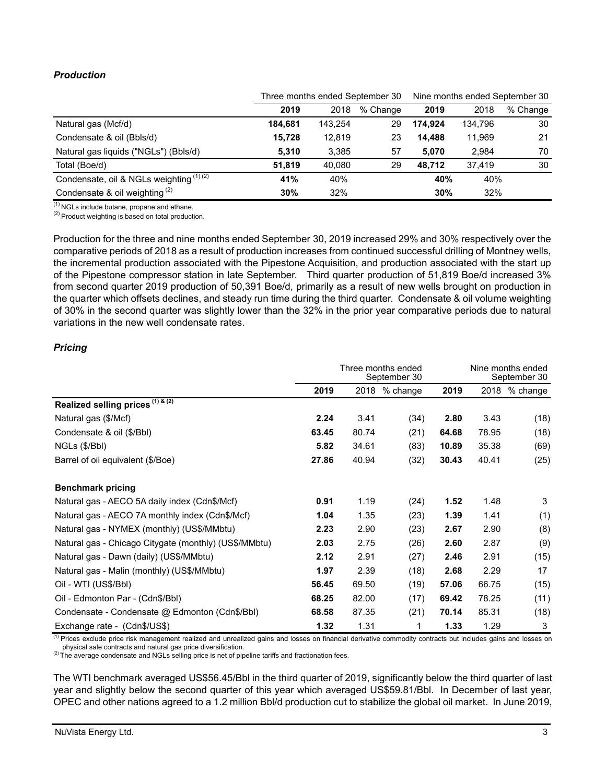# *Production*

|                                          |         |         | Three months ended September 30 | Nine months ended September 30 |         |          |  |
|------------------------------------------|---------|---------|---------------------------------|--------------------------------|---------|----------|--|
|                                          | 2019    | 2018    | % Change                        | 2019                           | 2018    | % Change |  |
| Natural gas (Mcf/d)                      | 184.681 | 143,254 | 29                              | 174.924                        | 134,796 | 30       |  |
| Condensate & oil (Bbls/d)                | 15.728  | 12.819  | 23                              | 14.488                         | 11,969  | 21       |  |
| Natural gas liquids ("NGLs") (Bbls/d)    | 5,310   | 3,385   | 57                              | 5,070                          | 2.984   | 70       |  |
| Total (Boe/d)                            | 51.819  | 40.080  | 29                              | 48.712                         | 37.419  | 30       |  |
| Condensate, oil & NGLs weighting (1) (2) | 41%     | 40%     |                                 | 40%                            | 40%     |          |  |
| Condensate & oil weighting $(2)$         | 30%     | 32%     |                                 | 30%                            | 32%     |          |  |

 $(1)$  NGLs include butane, propane and ethane.

 $(2)$  Product weighting is based on total production.

Production for the three and nine months ended September 30, 2019 increased 29% and 30% respectively over the comparative periods of 2018 as a result of production increases from continued successful drilling of Montney wells, the incremental production associated with the Pipestone Acquisition, and production associated with the start up of the Pipestone compressor station in late September. Third quarter production of 51,819 Boe/d increased 3% from second quarter 2019 production of 50,391 Boe/d, primarily as a result of new wells brought on production in the quarter which offsets declines, and steady run time during the third quarter. Condensate & oil volume weighting of 30% in the second quarter was slightly lower than the 32% in the prior year comparative periods due to natural variations in the new well condensate rates.

# *Pricing*

|                                                       | Three months ended<br>September 30 |       |               |       |       | Nine months ended<br>September 30 |  |
|-------------------------------------------------------|------------------------------------|-------|---------------|-------|-------|-----------------------------------|--|
|                                                       | 2019                               |       | 2018 % change | 2019  | 2018  | % change                          |  |
| Realized selling prices (1) & (2)                     |                                    |       |               |       |       |                                   |  |
| Natural gas (\$/Mcf)                                  | 2.24                               | 3.41  | (34)          | 2.80  | 3.43  | (18)                              |  |
| Condensate & oil (\$/Bbl)                             | 63.45                              | 80.74 | (21)          | 64.68 | 78.95 | (18)                              |  |
| NGLs (\$/Bbl)                                         | 5.82                               | 34.61 | (83)          | 10.89 | 35.38 | (69)                              |  |
| Barrel of oil equivalent (\$/Boe)                     | 27.86                              | 40.94 | (32)          | 30.43 | 40.41 | (25)                              |  |
| <b>Benchmark pricing</b>                              |                                    |       |               |       |       |                                   |  |
| Natural gas - AECO 5A daily index (Cdn\$/Mcf)         | 0.91                               | 1.19  | (24)          | 1.52  | 1.48  | 3                                 |  |
| Natural gas - AECO 7A monthly index (Cdn\$/Mcf)       | 1.04                               | 1.35  | (23)          | 1.39  | 1.41  | (1)                               |  |
| Natural gas - NYMEX (monthly) (US\$/MMbtu)            | 2.23                               | 2.90  | (23)          | 2.67  | 2.90  | (8)                               |  |
| Natural gas - Chicago Citygate (monthly) (US\$/MMbtu) | 2.03                               | 2.75  | (26)          | 2.60  | 2.87  | (9)                               |  |
| Natural gas - Dawn (daily) (US\$/MMbtu)               | 2.12                               | 2.91  | (27)          | 2.46  | 2.91  | (15)                              |  |
| Natural gas - Malin (monthly) (US\$/MMbtu)            | 1.97                               | 2.39  | (18)          | 2.68  | 2.29  | 17                                |  |
| Oil - WTI (US\$/BbI)                                  | 56.45                              | 69.50 | (19)          | 57.06 | 66.75 | (15)                              |  |
| Oil - Edmonton Par - (Cdn\$/Bbl)                      | 68.25                              | 82.00 | (17)          | 69.42 | 78.25 | (11)                              |  |
| Condensate - Condensate @ Edmonton (Cdn\$/Bbl)        | 68.58                              | 87.35 | (21)          | 70.14 | 85.31 | (18)                              |  |
| Exchange rate - (Cdn\$/US\$)                          | 1.32                               | 1.31  |               | 1.33  | 1.29  | 3                                 |  |

<sup>(1)</sup> Prices exclude price risk management realized and unrealized gains and losses on financial derivative commodity contracts but includes gains and losses on physical sale contracts and natural gas price diversification.

(2) The average condensate and NGLs selling price is net of pipeline tariffs and fractionation fees.

The WTI benchmark averaged US\$56.45/Bbl in the third quarter of 2019, significantly below the third quarter of last year and slightly below the second quarter of this year which averaged US\$59.81/Bbl. In December of last year, OPEC and other nations agreed to a 1.2 million Bbl/d production cut to stabilize the global oil market. In June 2019,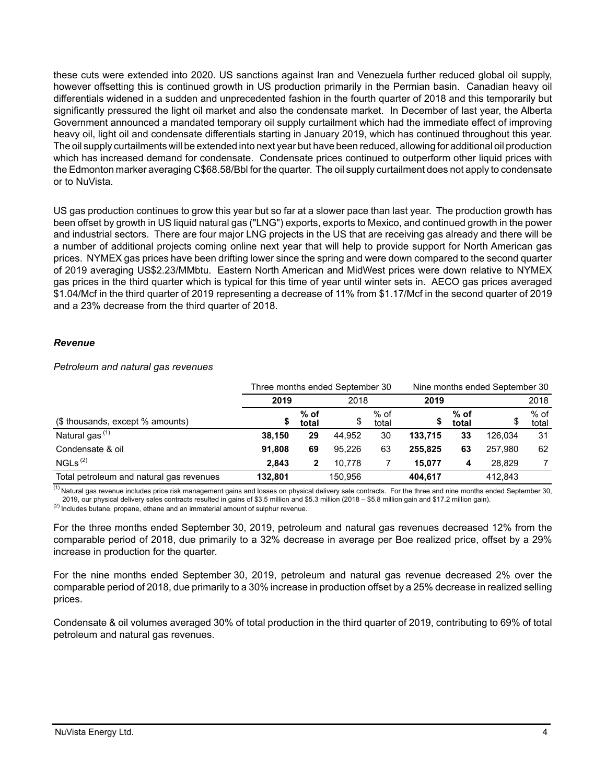these cuts were extended into 2020. US sanctions against Iran and Venezuela further reduced global oil supply, however offsetting this is continued growth in US production primarily in the Permian basin. Canadian heavy oil differentials widened in a sudden and unprecedented fashion in the fourth quarter of 2018 and this temporarily but significantly pressured the light oil market and also the condensate market. In December of last year, the Alberta Government announced a mandated temporary oil supply curtailment which had the immediate effect of improving heavy oil, light oil and condensate differentials starting in January 2019, which has continued throughout this year. The oil supply curtailments will be extended into next year but have been reduced, allowing for additional oil production which has increased demand for condensate. Condensate prices continued to outperform other liquid prices with the Edmonton marker averaging C\$68.58/Bbl for the quarter. The oil supply curtailment does not apply to condensate or to NuVista.

US gas production continues to grow this year but so far at a slower pace than last year. The production growth has been offset by growth in US liquid natural gas ("LNG") exports, exports to Mexico, and continued growth in the power and industrial sectors. There are four major LNG projects in the US that are receiving gas already and there will be a number of additional projects coming online next year that will help to provide support for North American gas prices. NYMEX gas prices have been drifting lower since the spring and were down compared to the second quarter of 2019 averaging US\$2.23/MMbtu. Eastern North American and MidWest prices were down relative to NYMEX gas prices in the third quarter which is typical for this time of year until winter sets in. AECO gas prices averaged \$1.04/Mcf in the third quarter of 2019 representing a decrease of 11% from \$1.17/Mcf in the second quarter of 2019 and a 23% decrease from the third quarter of 2018.

### *Revenue*

#### *Petroleum and natural gas revenues*

|                                          | Three months ended September 30 |                 |         |                 |         |                 | Nine months ended September 30 |                 |  |  |
|------------------------------------------|---------------------------------|-----------------|---------|-----------------|---------|-----------------|--------------------------------|-----------------|--|--|
|                                          | 2019                            |                 | 2018    |                 | 2019    |                 | 2018                           |                 |  |  |
| (\$ thousands, except % amounts)         |                                 | $%$ of<br>total | J       | $%$ of<br>total |         | $%$ of<br>total |                                | $%$ of<br>total |  |  |
| Natural gas $(1)$                        | 38.150                          | 29              | 44.952  | 30              | 133.715 | 33              | 126.034                        | 31              |  |  |
| Condensate & oil                         | 91.808                          | 69              | 95.226  | 63              | 255.825 | 63              | 257.980                        | 62              |  |  |
| NGLs <sup>(2)</sup>                      | 2.843                           | 2               | 10.778  |                 | 15.077  | 4               | 28.829                         |                 |  |  |
| Total petroleum and natural gas revenues | 132.801                         |                 | 150.956 |                 | 404.617 |                 | 412.843                        |                 |  |  |

(1) Natural gas revenue includes price risk management gains and losses on physical delivery sale contracts. For the three and nine months ended September 30, 2019, our physical delivery sales contracts resulted in gains of \$3.5 million and \$5.3 million (2018 – \$5.8 million gain and \$17.2 million gain).

 $(2)$  Includes butane, propane, ethane and an immaterial amount of sulphur revenue.

For the three months ended September 30, 2019, petroleum and natural gas revenues decreased 12% from the comparable period of 2018, due primarily to a 32% decrease in average per Boe realized price, offset by a 29% increase in production for the quarter.

For the nine months ended September 30, 2019, petroleum and natural gas revenue decreased 2% over the comparable period of 2018, due primarily to a 30% increase in production offset by a 25% decrease in realized selling prices.

Condensate & oil volumes averaged 30% of total production in the third quarter of 2019, contributing to 69% of total petroleum and natural gas revenues.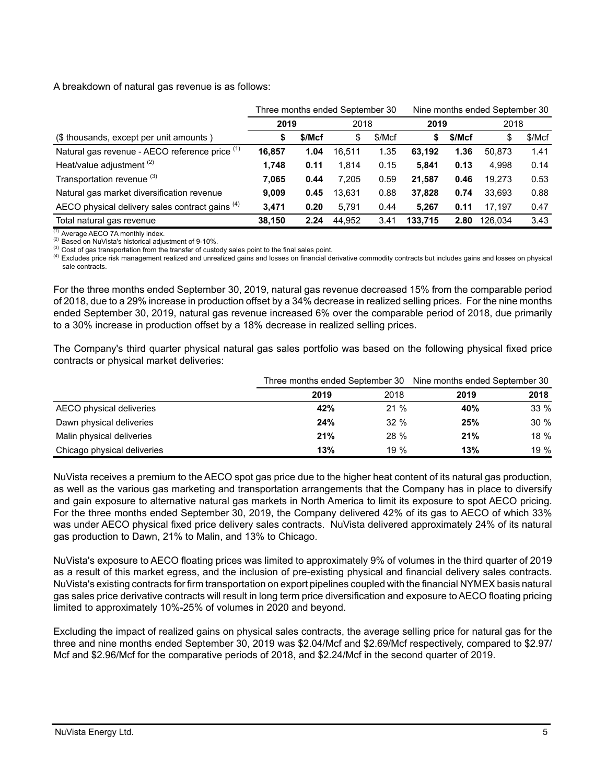A breakdown of natural gas revenue is as follows:

|                                                 | Three months ended September 30 |      |        |        | Nine months ended September 30 |        |         |        |
|-------------------------------------------------|---------------------------------|------|--------|--------|--------------------------------|--------|---------|--------|
|                                                 | 2019                            |      | 2018   |        | 2019                           |        | 2018    |        |
| (\$ thousands, except per unit amounts)         | \$/Mcf<br>\$                    |      | \$     | \$/Mcf | S                              | \$/Mcf | \$      | \$/Mcf |
| Natural gas revenue - AECO reference price (1)  | 16,857                          | 1.04 | 16.511 | 1.35   | 63.192                         | 1.36   | 50.873  | 1.41   |
| Heat/value adjustment <sup>(2)</sup>            | 1,748                           | 0.11 | 1.814  | 0.15   | 5.841                          | 0.13   | 4.998   | 0.14   |
| Transportation revenue <sup>(3)</sup>           | 7.065                           | 0.44 | 7.205  | 0.59   | 21.587                         | 0.46   | 19.273  | 0.53   |
| Natural gas market diversification revenue      | 9.009                           | 0.45 | 13.631 | 0.88   | 37,828                         | 0.74   | 33.693  | 0.88   |
| AECO physical delivery sales contract gains (4) | 3,471                           | 0.20 | 5.791  | 0.44   | 5.267                          | 0.11   | 17.197  | 0.47   |
| Total natural gas revenue                       | 38,150                          | 2.24 | 44.952 | 3.41   | 133.715                        | 2.80   | 126.034 | 3.43   |

(1) Average AECO 7A monthly index.

(2) Based on NuVista's historical adjustment of 9-10%.

(3) Cost of gas transportation from the transfer of custody sales point to the final sales point.

(4) Excludes price risk management realized and unrealized gains and losses on financial derivative commodity contracts but includes gains and losses on physical sale contracts.

For the three months ended September 30, 2019, natural gas revenue decreased 15% from the comparable period of 2018, due to a 29% increase in production offset by a 34% decrease in realized selling prices. For the nine months ended September 30, 2019, natural gas revenue increased 6% over the comparable period of 2018, due primarily to a 30% increase in production offset by a 18% decrease in realized selling prices.

The Company's third quarter physical natural gas sales portfolio was based on the following physical fixed price contracts or physical market deliveries:

|                             |      |             | Three months ended September 30 Nine months ended September 30 |      |  |
|-----------------------------|------|-------------|----------------------------------------------------------------|------|--|
|                             | 2019 | 2018        | 2019                                                           | 2018 |  |
| AECO physical deliveries    | 42%  | 21%         | 40%                                                            | 33%  |  |
| Dawn physical deliveries    | 24%  | $32 \%$     | 25%                                                            | 30%  |  |
| Malin physical deliveries   | 21%  | <b>28 %</b> | 21%                                                            | 18 % |  |
| Chicago physical deliveries | 13%  | 19%         | 13%                                                            | 19%  |  |

NuVista receives a premium to the AECO spot gas price due to the higher heat content of its natural gas production, as well as the various gas marketing and transportation arrangements that the Company has in place to diversify and gain exposure to alternative natural gas markets in North America to limit its exposure to spot AECO pricing. For the three months ended September 30, 2019, the Company delivered 42% of its gas to AECO of which 33% was under AECO physical fixed price delivery sales contracts. NuVista delivered approximately 24% of its natural gas production to Dawn, 21% to Malin, and 13% to Chicago.

NuVista's exposure to AECO floating prices was limited to approximately 9% of volumes in the third quarter of 2019 as a result of this market egress, and the inclusion of pre-existing physical and financial delivery sales contracts. NuVista's existing contracts for firm transportation on export pipelines coupled with the financial NYMEX basis natural gas sales price derivative contracts will result in long term price diversification and exposure to AECO floating pricing limited to approximately 10%-25% of volumes in 2020 and beyond.

Excluding the impact of realized gains on physical sales contracts, the average selling price for natural gas for the three and nine months ended September 30, 2019 was \$2.04/Mcf and \$2.69/Mcf respectively, compared to \$2.97/ Mcf and \$2.96/Mcf for the comparative periods of 2018, and \$2.24/Mcf in the second quarter of 2019.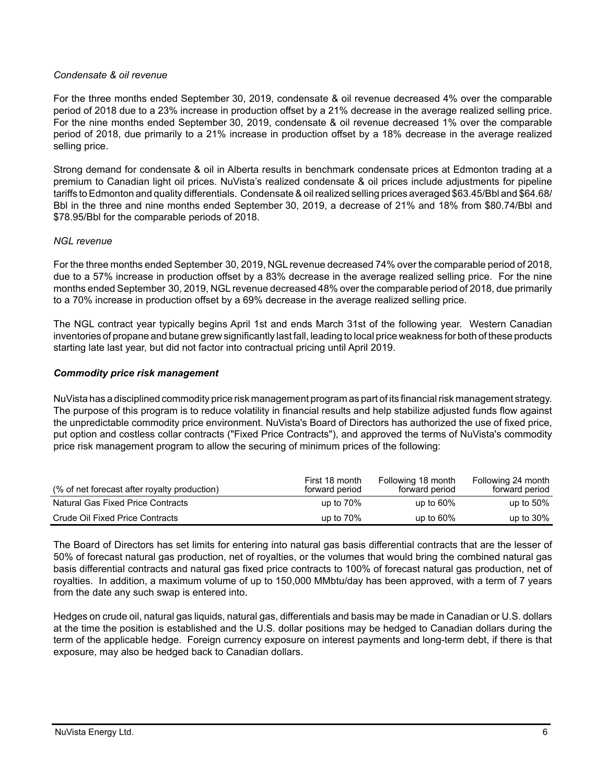### *Condensate & oil revenue*

For the three months ended September 30, 2019, condensate & oil revenue decreased 4% over the comparable period of 2018 due to a 23% increase in production offset by a 21% decrease in the average realized selling price. For the nine months ended September 30, 2019, condensate & oil revenue decreased 1% over the comparable period of 2018, due primarily to a 21% increase in production offset by a 18% decrease in the average realized selling price.

Strong demand for condensate & oil in Alberta results in benchmark condensate prices at Edmonton trading at a premium to Canadian light oil prices. NuVista's realized condensate & oil prices include adjustments for pipeline tariffs to Edmonton and quality differentials. Condensate & oil realized selling prices averaged \$63.45/Bbl and \$64.68/ Bbl in the three and nine months ended September 30, 2019, a decrease of 21% and 18% from \$80.74/Bbl and \$78.95/Bbl for the comparable periods of 2018.

#### *NGL revenue*

For the three months ended September 30, 2019, NGL revenue decreased74% over the comparable period of 2018, due to a 57% increase in production offset by a 83% decrease in the average realized selling price. For the nine months ended September 30, 2019, NGL revenue decreased 48% over the comparable period of 2018, due primarily to a 70% increase in production offset by a 69% decrease in the average realized selling price.

The NGL contract year typically begins April 1st and ends March 31st of the following year. Western Canadian inventories of propane and butane grew significantly last fall, leading to local price weakness for both of these products starting late last year, but did not factor into contractual pricing until April 2019.

#### *Commodity price risk management*

NuVista has a disciplined commodity price risk management program as part of its financial risk management strategy. The purpose of this program is to reduce volatility in financial results and help stabilize adjusted funds flow against the unpredictable commodity price environment. NuVista's Board of Directors has authorized the use of fixed price, put option and costless collar contracts ("Fixed Price Contracts"), and approved the terms of NuVista's commodity price risk management program to allow the securing of minimum prices of the following:

| (% of net forecast after royalty production) | First 18 month<br>forward period | Following 18 month<br>forward period | Following 24 month<br>forward period |
|----------------------------------------------|----------------------------------|--------------------------------------|--------------------------------------|
| Natural Gas Fixed Price Contracts            | up to $70\%$                     | up to $60\%$                         | up to $50\%$                         |
| Crude Oil Fixed Price Contracts              | up to $70\%$                     | up to $60\%$                         | up to $30\%$                         |

The Board of Directors has set limits for entering into natural gas basis differential contracts that are the lesser of 50% of forecast natural gas production, net of royalties, or the volumes that would bring the combined natural gas basis differential contracts and natural gas fixed price contracts to 100% of forecast natural gas production, net of royalties. In addition, a maximum volume of up to 150,000 MMbtu/day has been approved, with a term of 7 years from the date any such swap is entered into.

Hedges on crude oil, natural gas liquids, natural gas, differentials and basis may be made in Canadian or U.S. dollars at the time the position is established and the U.S. dollar positions may be hedged to Canadian dollars during the term of the applicable hedge. Foreign currency exposure on interest payments and long-term debt, if there is that exposure, may also be hedged back to Canadian dollars.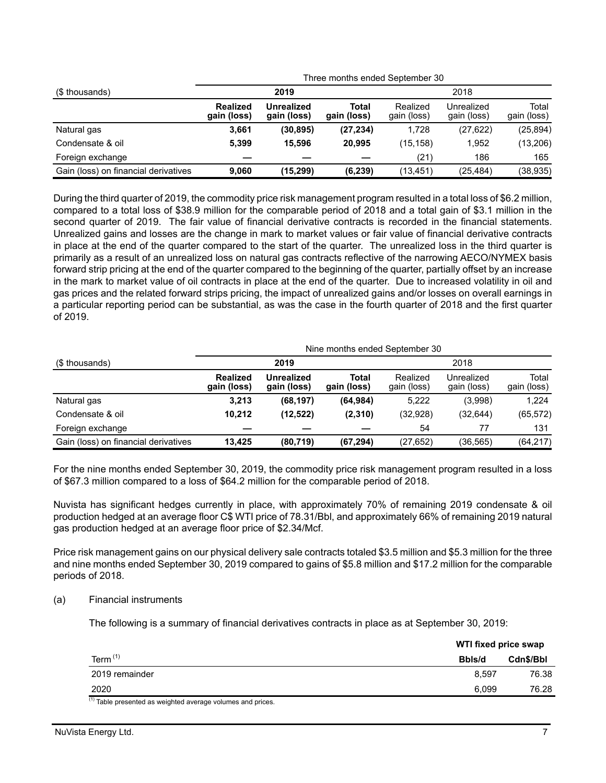| (\$ thousands)                       |                                |                           | Three months ended September 30 |             |                                                                                                          |                      |  |  |  |  |
|--------------------------------------|--------------------------------|---------------------------|---------------------------------|-------------|----------------------------------------------------------------------------------------------------------|----------------------|--|--|--|--|
|                                      |                                | 2019                      |                                 |             | 2018<br>Realized<br>Unrealized<br>gain (loss)<br>(27, 622)<br>1.728<br>(15, 158)<br>1,952<br>186<br>(21) |                      |  |  |  |  |
|                                      | <b>Realized</b><br>gain (loss) | Unrealized<br>gain (loss) | Total<br>gain (loss)            | gain (loss) |                                                                                                          | Total<br>gain (loss) |  |  |  |  |
| Natural gas                          | 3,661                          | (30, 895)                 | (27, 234)                       |             |                                                                                                          | (25, 894)            |  |  |  |  |
| Condensate & oil                     | 5,399                          | 15.596                    | 20.995                          |             |                                                                                                          | (13,206)             |  |  |  |  |
| Foreign exchange                     |                                |                           |                                 |             |                                                                                                          | 165                  |  |  |  |  |
| Gain (loss) on financial derivatives | 9.060                          | (15,299)                  | (6,239)                         | (13, 451)   | (25, 484)                                                                                                | (38, 935)            |  |  |  |  |

During the third quarter of 2019, the commodity price risk management program resulted in a total loss of \$6.2 million, compared to a total loss of \$38.9 million for the comparable period of 2018 and a total gain of \$3.1 million in the second quarter of 2019. The fair value of financial derivative contracts is recorded in the financial statements. Unrealized gains and losses are the change in mark to market values or fair value of financial derivative contracts in place at the end of the quarter compared to the start of the quarter. The unrealized loss in the third quarter is primarily as a result of an unrealized loss on natural gas contracts reflective of the narrowing AECO/NYMEX basis forward strip pricing at the end of the quarter compared to the beginning of the quarter, partially offset by an increase in the mark to market value of oil contracts in place at the end of the quarter. Due to increased volatility in oil and gas prices and the related forward strips pricing, the impact of unrealized gains and/or losses on overall earnings in a particular reporting period can be substantial, as was the case in the fourth quarter of 2018 and the first quarter of 2019.

|                                      |                                |                           | Nine months ended September 30 |                         |                           |                      |  |  |  |  |  |
|--------------------------------------|--------------------------------|---------------------------|--------------------------------|-------------------------|---------------------------|----------------------|--|--|--|--|--|
| (\$ thousands)                       |                                | 2019                      | 2018                           |                         |                           |                      |  |  |  |  |  |
|                                      | <b>Realized</b><br>gain (loss) | Unrealized<br>gain (loss) | Total<br>gain (loss)           | Realized<br>gain (loss) | Unrealized<br>gain (loss) | Total<br>gain (loss) |  |  |  |  |  |
| Natural gas                          | 3,213                          | (68, 197)                 | (64, 984)                      | 5,222                   | (3,998)                   | 1,224                |  |  |  |  |  |
| Condensate & oil                     | 10,212                         | (12,522)                  | (2, 310)                       | (32, 928)               | (32, 644)                 | (65, 572)            |  |  |  |  |  |
| Foreign exchange                     |                                |                           |                                | 54                      | 77                        | 131                  |  |  |  |  |  |
| Gain (loss) on financial derivatives | 13.425                         | (80, 719)                 | (67, 294)                      | (27, 652)               | (36,565)                  | (64, 217)            |  |  |  |  |  |

For the nine months ended September 30, 2019, the commodity price risk management program resulted in a loss of \$67.3 million compared to a loss of \$64.2 million for the comparable period of 2018.

Nuvista has significant hedges currently in place, with approximately 70% of remaining 2019 condensate & oil production hedged at an average floor C\$ WTI price of 78.31/Bbl, and approximately 66% of remaining 2019 natural gas production hedged at an average floor price of \$2.34/Mcf.

Price risk management gains on our physical delivery sale contracts totaled \$3.5 million and \$5.3 million for the three and nine months ended September 30, 2019 compared to gains of \$5.8 million and \$17.2 million for the comparable periods of 2018.

### (a) Financial instruments

The following is a summary of financial derivatives contracts in place as at September 30, 2019:

|                                                              | WTI fixed price swap |           |
|--------------------------------------------------------------|----------------------|-----------|
| Term $(1)$                                                   | Bbls/d               | Cdn\$/Bbl |
| 2019 remainder                                               | 8.597                | 76.38     |
| 2020                                                         | 6.099                | 76.28     |
| $(1)$ Table presented as weighted average volumes and prices |                      |           |

Table presented as weighted average volumes and prices.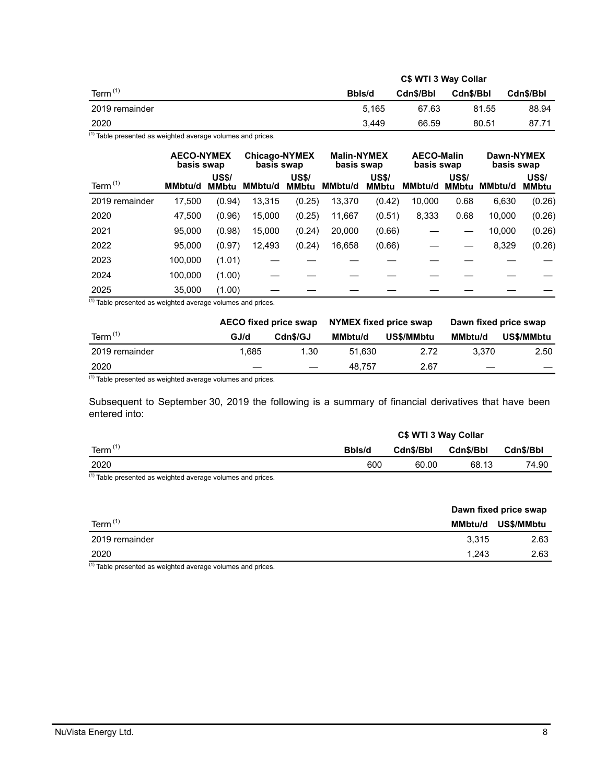|                  | C\$ WTI 3 Way Collar |           |           |           |  |  |
|------------------|----------------------|-----------|-----------|-----------|--|--|
| Term $(1)$       | Bbls/d               | Cdn\$/Bbl | Cdn\$/Bbl | Cdn\$/Bbl |  |  |
| 2019 remainder   | 5.165                | 67.63     | 81.55     | 88.94     |  |  |
| 2020<br>$\cdots$ | 3.449                | 66.59     | 80.51     | 87.71     |  |  |

 $(1)$  Table presented as weighted average volumes and prices.

|                | <b>AECO-NYMEX</b><br>basis swap |                              | <b>Chicago-NYMEX</b><br>basis swap |                              | <b>Malin-NYMEX</b><br>basis swap |                              | <b>AECO-Malin</b><br>basis swap |                       | Dawn-NYMEX<br>basis swap |                              |  |
|----------------|---------------------------------|------------------------------|------------------------------------|------------------------------|----------------------------------|------------------------------|---------------------------------|-----------------------|--------------------------|------------------------------|--|
| Term $(1)$     | <b>MMbtu/d</b>                  | <b>US\$/</b><br><b>MMbtu</b> | MMbtu/d                            | <b>US\$/</b><br><b>MMbtu</b> | MMbtu/d                          | <b>US\$/</b><br><b>MMbtu</b> | MMbtu/d                         | <b>US\$/</b><br>MMbtu | MMbtu/d                  | <b>US\$/</b><br><b>MMbtu</b> |  |
| 2019 remainder | 17,500                          | (0.94)                       | 13,315                             | (0.25)                       | 13,370                           | (0.42)                       | 10,000                          | 0.68                  | 6,630                    | (0.26)                       |  |
| 2020           | 47.500                          | (0.96)                       | 15,000                             | (0.25)                       | 11.667                           | (0.51)                       | 8,333                           | 0.68                  | 10,000                   | (0.26)                       |  |
| 2021           | 95,000                          | (0.98)                       | 15,000                             | (0.24)                       | 20,000                           | (0.66)                       |                                 |                       | 10,000                   | (0.26)                       |  |
| 2022           | 95,000                          | (0.97)                       | 12,493                             | (0.24)                       | 16,658                           | (0.66)                       |                                 |                       | 8,329                    | (0.26)                       |  |
| 2023           | 100,000                         | (1.01)                       |                                    |                              |                                  |                              |                                 |                       |                          |                              |  |
| 2024           | 100,000                         | (1.00)                       |                                    |                              |                                  |                              |                                 |                       |                          |                              |  |
| 2025           | 35,000                          | (1.00)                       |                                    |                              |                                  |                              |                                 |                       |                          |                              |  |

 $(1)$  Table presented as weighted average volumes and prices.

|                |      | AECO fixed price swap    | NYMEX fixed price swap |            | Dawn fixed price swap |            |
|----------------|------|--------------------------|------------------------|------------|-----------------------|------------|
| Term $(1)$     | GJ/d | Cdn\$/GJ                 | <b>MMbtu/d</b>         | US\$/MMbtu | <b>MMbtu/d</b>        | US\$/MMbtu |
| 2019 remainder | .685 | 1.30                     | 51.630                 | 2.72       | 3.370                 | 2.50       |
| 2020           |      | $\overline{\phantom{m}}$ | 48.757                 | 2.67       |                       |            |

 $(1)$  Table presented as weighted average volumes and prices.

Subsequent to September 30, 2019 the following is a summary of financial derivatives that have been entered into:

|            | C\$ WTI 3 Way Collar |           |           |           |  |  |
|------------|----------------------|-----------|-----------|-----------|--|--|
| Term $(1)$ | Bbls/d               | Cdn\$/Bbl | Cdn\$/Bbl | Cdn\$/Bbl |  |  |
| 2020       | 600                  | 60.00     | 68.13     | 74.90     |  |  |
| (4)        |                      |           |           |           |  |  |

 $\frac{(1)}{(1)}$  Table presented as weighted average volumes and prices.

|                | Dawn fixed price swap |            |
|----------------|-----------------------|------------|
| Term $(1)$     | <b>MMbtu/d</b>        | US\$/MMbtu |
| 2019 remainder | 3.315                 | 2.63       |
| 2020           | 1.243                 | 2.63       |
| $(4) - 1$<br>. |                       |            |

 $(1)$  Table presented as weighted average volumes and prices.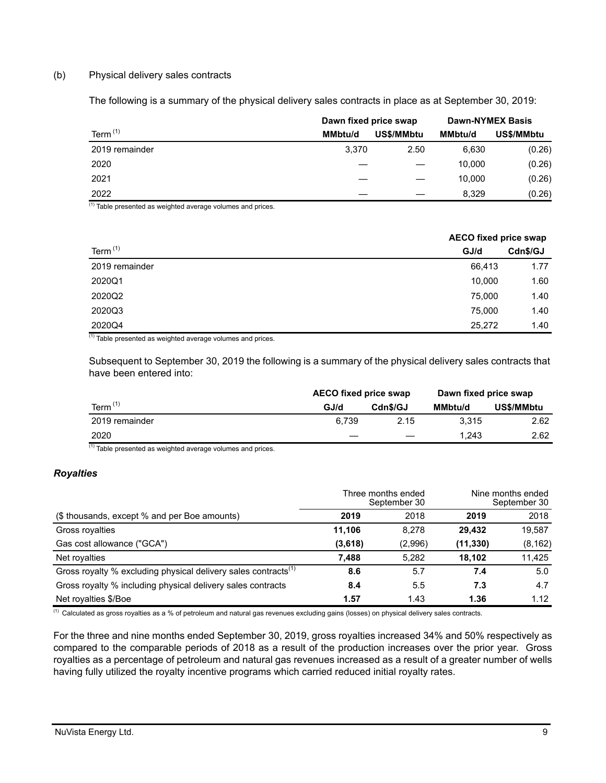### (b) Physical delivery sales contracts

The following is a summary of the physical delivery sales contracts in place as at September 30, 2019:

|                | Dawn fixed price swap |            | <b>Dawn-NYMEX Basis</b> |            |  |
|----------------|-----------------------|------------|-------------------------|------------|--|
| Term $(1)$     | <b>MMbtu/d</b>        | US\$/MMbtu | <b>MMbtu/d</b>          | US\$/MMbtu |  |
| 2019 remainder | 3,370                 | 2.50       | 6,630                   | (0.26)     |  |
| 2020           |                       |            | 10.000                  | (0.26)     |  |
| 2021           |                       |            | 10,000                  | (0.26)     |  |
| 2022           |                       |            | 8,329                   | (0.26)     |  |

 $(1)$  Table presented as weighted average volumes and prices.

|                | <b>AECO fixed price swap</b> |          |
|----------------|------------------------------|----------|
| Term $(1)$     | GJ/d                         | Cdn\$/GJ |
| 2019 remainder | 66,413                       | 1.77     |
| 2020Q1         | 10,000                       | 1.60     |
| 2020Q2         | 75,000                       | 1.40     |
| 2020Q3         | 75,000                       | 1.40     |
| 2020Q4         | 25,272                       | 1.40     |

(1) Table presented as weighted average volumes and prices.

Subsequent to September 30, 2019 the following is a summary of the physical delivery sales contracts that have been entered into:

|                | <b>AECO fixed price swap</b> |          | Dawn fixed price swap |            |  |
|----------------|------------------------------|----------|-----------------------|------------|--|
| Term $(1)$     | GJ/d                         | Cdn\$/GJ | MMbtu/d               | US\$/MMbtu |  |
| 2019 remainder | 6.739                        | 2.15     | 3.315                 | 2.62       |  |
| 2020           |                              |          | 1.243                 | 2.62       |  |

 $(1)$  Table presented as weighted average volumes and prices.

# *Royalties*

|                                                                            | Three months ended<br>September 30 |         | Nine months ended<br>September 30 |          |
|----------------------------------------------------------------------------|------------------------------------|---------|-----------------------------------|----------|
| (\$ thousands, except % and per Boe amounts)                               | 2019                               | 2018    | 2019                              | 2018     |
| Gross royalties                                                            | 11.106                             | 8.278   | 29.432                            | 19,587   |
| Gas cost allowance ("GCA")                                                 | (3,618)                            | (2,996) | (11, 330)                         | (8, 162) |
| Net royalties                                                              | 7,488                              | 5,282   | 18.102                            | 11,425   |
| Gross royalty % excluding physical delivery sales contracts <sup>(1)</sup> | 8.6                                | 5.7     | 7.4                               | 5.0      |
| Gross royalty % including physical delivery sales contracts                | 8.4                                | 5.5     | 7.3                               | 4.7      |
| Net royalties \$/Boe                                                       | 1.57                               | 1.43    | 1.36                              | 1.12     |

 $\overline{^{(1)}}$  Calculated as gross royalties as a % of petroleum and natural gas revenues excluding gains (losses) on physical delivery sales contracts.

For the three and nine months ended September 30, 2019, gross royalties increased 34% and 50% respectively as compared to the comparable periods of 2018 as a result of the production increases over the prior year. Gross royalties as a percentage of petroleum and natural gas revenues increased as a result of a greater number of wells having fully utilized the royalty incentive programs which carried reduced initial royalty rates.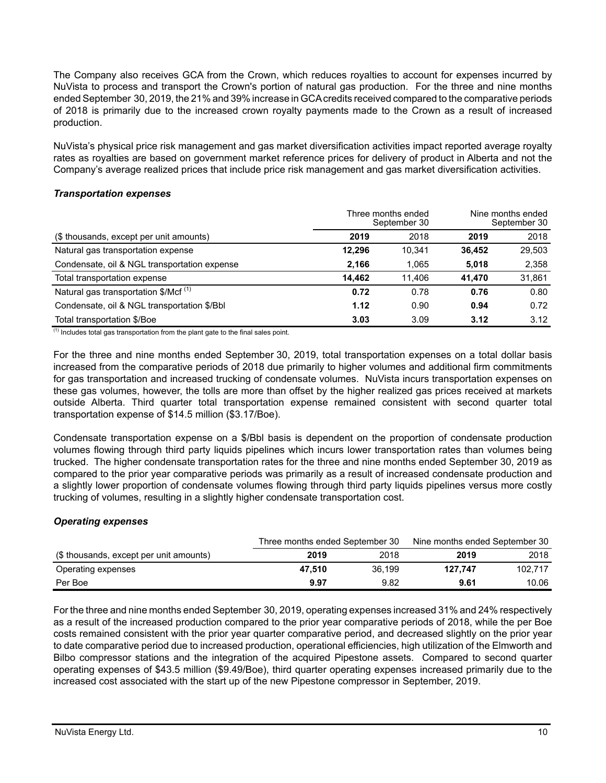The Company also receives GCA from the Crown, which reduces royalties to account for expenses incurred by NuVista to process and transport the Crown's portion of natural gas production. For the three and nine months ended September 30, 2019, the 21% and 39% increase in GCA credits received compared to the comparative periods of 2018 is primarily due to the increased crown royalty payments made to the Crown as a result of increased production.

NuVista's physical price risk management and gas market diversification activities impact reported average royalty rates as royalties are based on government market reference prices for delivery of product in Alberta and not the Company's average realized prices that include price risk management and gas market diversification activities.

### *Transportation expenses*

|                                                  | Three months ended<br>September 30 | Nine months ended<br>September 30 |        |        |
|--------------------------------------------------|------------------------------------|-----------------------------------|--------|--------|
| (\$ thousands, except per unit amounts)          | 2019                               | 2018                              | 2019   | 2018   |
| Natural gas transportation expense               | 12.296                             | 10.341                            | 36.452 | 29,503 |
| Condensate, oil & NGL transportation expense     | 2,166                              | 1.065                             | 5.018  | 2,358  |
| Total transportation expense                     | 14.462                             | 11.406                            | 41.470 | 31,861 |
| Natural gas transportation \$/Mcf <sup>(1)</sup> | 0.72                               | 0.78                              | 0.76   | 0.80   |
| Condensate, oil & NGL transportation \$/Bbl      | 1.12                               | 0.90                              | 0.94   | 0.72   |
| Total transportation \$/Boe                      | 3.03                               | 3.09                              | 3.12   | 3.12   |

 $<sup>(1)</sup>$  Includes total gas transportation from the plant gate to the final sales point.</sup>

For the three and nine months ended September 30, 2019, total transportation expenses on a total dollar basis increased from the comparative periods of 2018 due primarily to higher volumes and additional firm commitments for gas transportation and increased trucking of condensate volumes. NuVista incurs transportation expenses on these gas volumes, however, the tolls are more than offset by the higher realized gas prices received at markets outside Alberta. Third quarter total transportation expense remained consistent with second quarter total transportation expense of \$14.5 million (\$3.17/Boe).

Condensate transportation expense on a \$/Bbl basis is dependent on the proportion of condensate production volumes flowing through third party liquids pipelines which incurs lower transportation rates than volumes being trucked. The higher condensate transportation rates for the three and nine months ended September 30, 2019 as compared to the prior year comparative periods was primarily as a result of increased condensate production and a slightly lower proportion of condensate volumes flowing through third party liquids pipelines versus more costly trucking of volumes, resulting in a slightly higher condensate transportation cost.

# *Operating expenses*

|                                         | Three months ended September 30 |        | Nine months ended September 30 |         |  |
|-----------------------------------------|---------------------------------|--------|--------------------------------|---------|--|
| (\$ thousands, except per unit amounts) | 2019                            | 2018   | 2019                           | 2018    |  |
| Operating expenses                      | 47.510                          | 36.199 | 127.747                        | 102.717 |  |
| Per Boe                                 | 9.97                            | 9.82   | 9.61                           | 10.06   |  |

For the three and nine months ended September 30, 2019, operating expenses increased31% and 24% respectively as a result of the increased production compared to the prior year comparative periods of 2018, while the per Boe costs remained consistent with the prior year quarter comparative period, and decreased slightly on the prior year to date comparative period due to increased production, operational efficiencies, high utilization of the Elmworth and Bilbo compressor stations and the integration of the acquired Pipestone assets. Compared to second quarter operating expenses of \$43.5 million (\$9.49/Boe), third quarter operating expenses increased primarily due to the increased cost associated with the start up of the new Pipestone compressor in September, 2019.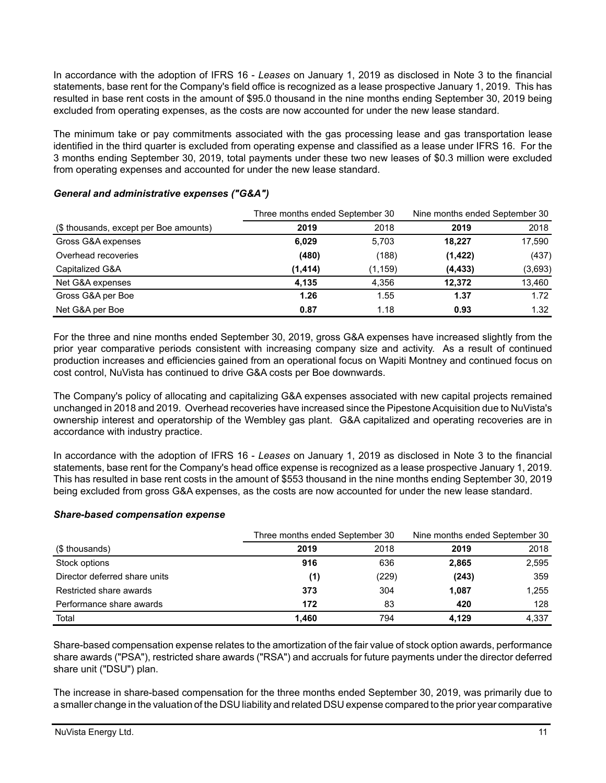In accordance with the adoption of IFRS 16 - *Leases* on January 1, 2019 as disclosed in Note 3 to the financial statements, base rent for the Company's field office is recognized as a lease prospective January 1, 2019. This has resulted in base rent costs in the amount of \$95.0 thousand in the nine months ending September 30, 2019 being excluded from operating expenses, as the costs are now accounted for under the new lease standard.

The minimum take or pay commitments associated with the gas processing lease and gas transportation lease identified in the third quarter is excluded from operating expense and classified as a lease under IFRS 16. For the 3 months ending September 30, 2019, total payments under these two new leases of \$0.3 million were excluded from operating expenses and accounted for under the new lease standard.

|                                        | Three months ended September 30 |          | Nine months ended September 30 |         |
|----------------------------------------|---------------------------------|----------|--------------------------------|---------|
| (\$ thousands, except per Boe amounts) | 2019                            | 2018     | 2019                           | 2018    |
| Gross G&A expenses                     | 6,029                           | 5,703    | 18,227                         | 17,590  |
| Overhead recoveries                    | (480)                           | (188)    | (1, 422)                       | (437)   |
| Capitalized G&A                        | (1, 414)                        | (1, 159) | (4, 433)                       | (3,693) |
| Net G&A expenses                       | 4.135                           | 4.356    | 12.372                         | 13,460  |
| Gross G&A per Boe                      | 1.26                            | 1.55     | 1.37                           | 1.72    |
| Net G&A per Boe                        | 0.87                            | 1.18     | 0.93                           | 1.32    |

# *General and administrative expenses ("G&A")*

For the three and nine months ended September 30, 2019, gross G&A expenses have increased slightly from the prior year comparative periods consistent with increasing company size and activity. As a result of continued production increases and efficiencies gained from an operational focus on Wapiti Montney and continued focus on cost control, NuVista has continued to drive G&A costs per Boe downwards.

The Company's policy of allocating and capitalizing G&A expenses associated with new capital projects remained unchanged in 2018 and 2019. Overhead recoveries have increased since the Pipestone Acquisition due to NuVista's ownership interest and operatorship of the Wembley gas plant. G&A capitalized and operating recoveries are in accordance with industry practice.

In accordance with the adoption of IFRS 16 - *Leases* on January 1, 2019 as disclosed in Note 3 to the financial statements, base rent for the Company's head office expense is recognized as a lease prospective January 1, 2019. This has resulted in base rent costs in the amount of \$553 thousand in the nine months ending September 30, 2019 being excluded from gross G&A expenses, as the costs are now accounted for under the new lease standard.

### *Share-based compensation expense*

|                               | Three months ended September 30 |       | Nine months ended September 30 |       |  |
|-------------------------------|---------------------------------|-------|--------------------------------|-------|--|
| (\$ thousands)                | 2019                            | 2018  | 2019                           | 2018  |  |
| Stock options                 | 916                             | 636   | 2,865                          | 2,595 |  |
| Director deferred share units | (1)                             | (229) | (243)                          | 359   |  |
| Restricted share awards       | 373                             | 304   | 1,087                          | 1.255 |  |
| Performance share awards      | 172                             | 83    | 420                            | 128   |  |
| Total                         | 1.460                           | 794   | 4.129                          | 4,337 |  |

Share-based compensation expense relates to the amortization of the fair value of stock option awards, performance share awards ("PSA"), restricted share awards ("RSA") and accruals for future payments under the director deferred share unit ("DSU") plan.

The increase in share-based compensation for the three months ended September 30, 2019, was primarily due to a smaller change in the valuation of the DSU liability and related DSU expense compared to the prior year comparative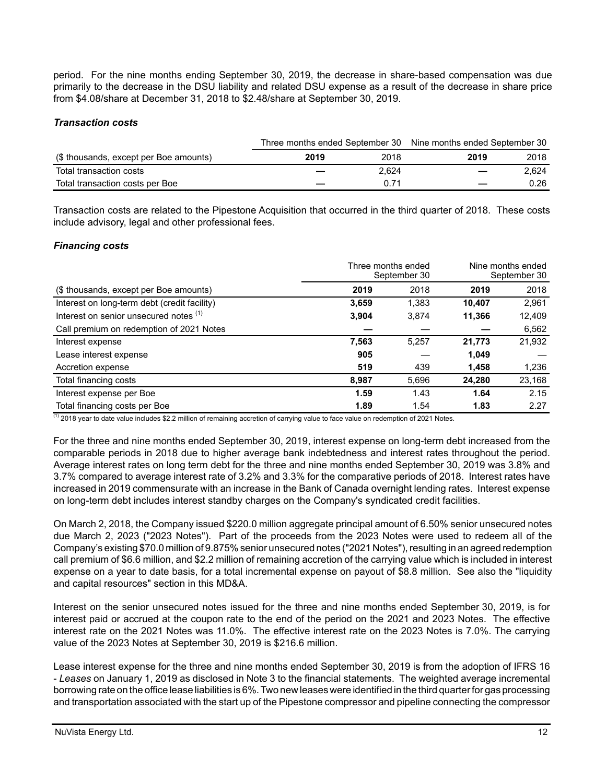period. For the nine months ending September 30, 2019, the decrease in share-based compensation was due primarily to the decrease in the DSU liability and related DSU expense as a result of the decrease in share price from \$4.08/share at December 31, 2018 to \$2.48/share at September 30, 2019.

# *Transaction costs*

|                                        |      |       | Three months ended September 30 Nine months ended September 30 |       |
|----------------------------------------|------|-------|----------------------------------------------------------------|-------|
| (\$ thousands, except per Boe amounts) | 2019 | 2018  | 2019                                                           | 2018  |
| Total transaction costs                |      | 2.624 |                                                                | 2.624 |
| Total transaction costs per Boe        |      | በ 71  |                                                                | 0.26  |

Transaction costs are related to the Pipestone Acquisition that occurred in the third quarter of 2018. These costs include advisory, legal and other professional fees.

# *Financing costs*

|                                              | Three months ended | September 30 | Nine months ended<br>September 30 |        |
|----------------------------------------------|--------------------|--------------|-----------------------------------|--------|
| (\$ thousands, except per Boe amounts)       | 2019               | 2018         | 2019                              | 2018   |
| Interest on long-term debt (credit facility) | 3.659              | 1.383        | 10.407                            | 2,961  |
| Interest on senior unsecured notes (1)       | 3,904              | 3,874        | 11,366                            | 12,409 |
| Call premium on redemption of 2021 Notes     |                    |              |                                   | 6,562  |
| Interest expense                             | 7,563              | 5.257        | 21,773                            | 21,932 |
| Lease interest expense                       | 905                |              | 1.049                             |        |
| Accretion expense                            | 519                | 439          | 1.458                             | 1,236  |
| Total financing costs                        | 8,987              | 5,696        | 24.280                            | 23,168 |
| Interest expense per Boe                     | 1.59               | 1.43         | 1.64                              | 2.15   |
| Total financing costs per Boe                | 1.89               | 1.54         | 1.83                              | 2.27   |

 $(1)$  2018 year to date value includes \$2.2 million of remaining accretion of carrying value to face value on redemption of 2021 Notes.

For the three and nine months ended September 30, 2019, interest expense on long-term debt increased from the comparable periods in 2018 due to higher average bank indebtedness and interest rates throughout the period. Average interest rates on long term debt for the three and nine months ended September 30, 2019 was 3.8% and 3.7% compared to average interest rate of 3.2% and 3.3% for the comparative periods of 2018. Interest rates have increased in 2019 commensurate with an increase in the Bank of Canada overnight lending rates. Interest expense on long-term debt includes interest standby charges on the Company's syndicated credit facilities.

On March 2, 2018, the Company issued \$220.0 million aggregate principal amount of 6.50% senior unsecured notes due March 2, 2023 ("2023 Notes"). Part of the proceeds from the 2023 Notes were used to redeem all of the Company's existing \$70.0 million of 9.875% senior unsecured notes ("2021 Notes"), resulting in an agreed redemption call premium of \$6.6 million, and \$2.2 million of remaining accretion of the carrying value which is included in interest expense on a year to date basis, for a total incremental expense on payout of \$8.8 million. See also the "liquidity and capital resources" section in this MD&A.

Interest on the senior unsecured notes issued for the three and nine months ended September 30, 2019, is for interest paid or accrued at the coupon rate to the end of the period on the 2021 and 2023 Notes. The effective interest rate on the 2021 Notes was 11.0%. The effective interest rate on the 2023 Notes is 7.0%. The carrying value of the 2023 Notes at September 30, 2019 is \$216.6 million.

Lease interest expense for the three and nine months ended September 30, 2019 is from the adoption of IFRS 16 - *Leases* on January 1, 2019 as disclosed in Note 3 to the financial statements. The weighted average incremental borrowing rate on the office lease liabilities is 6%. Two new leases were identified in the third quarter for gas processing and transportation associated with the start up of the Pipestone compressor and pipeline connecting the compressor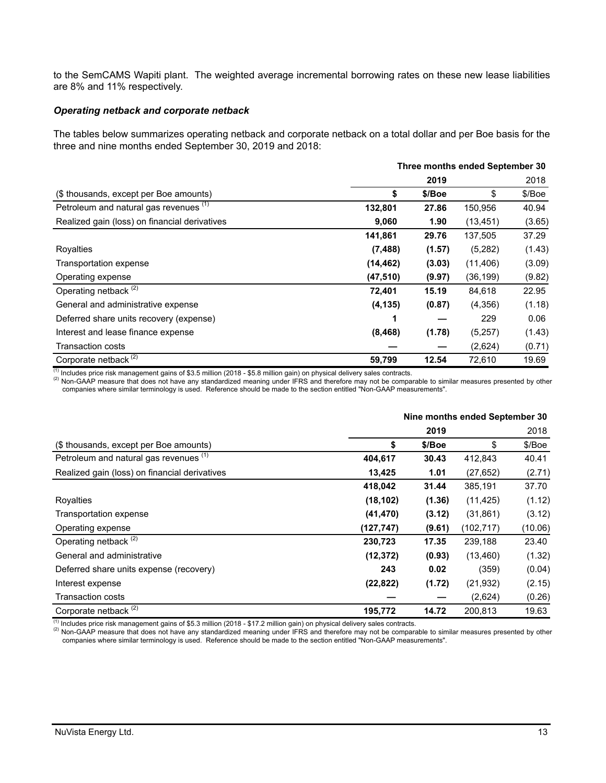to the SemCAMS Wapiti plant. The weighted average incremental borrowing rates on these new lease liabilities are 8% and 11% respectively.

#### *Operating netback and corporate netback*

The tables below summarizes operating netback and corporate netback on a total dollar and per Boe basis for the three and nine months ended September 30, 2019 and 2018:

| Three months ended September 30               |           |        |           |        |
|-----------------------------------------------|-----------|--------|-----------|--------|
|                                               |           | 2019   |           | 2018   |
| (\$ thousands, except per Boe amounts)        | \$        | \$/Boe | \$        | \$/Boe |
| Petroleum and natural gas revenues (1)        | 132,801   | 27.86  | 150,956   | 40.94  |
| Realized gain (loss) on financial derivatives | 9,060     | 1.90   | (13, 451) | (3.65) |
|                                               | 141,861   | 29.76  | 137,505   | 37.29  |
| Royalties                                     | (7, 488)  | (1.57) | (5,282)   | (1.43) |
| Transportation expense                        | (14, 462) | (3.03) | (11, 406) | (3.09) |
| Operating expense                             | (47, 510) | (9.97) | (36, 199) | (9.82) |
| Operating netback <sup>(2)</sup>              | 72,401    | 15.19  | 84,618    | 22.95  |
| General and administrative expense            | (4, 135)  | (0.87) | (4,356)   | (1.18) |
| Deferred share units recovery (expense)       |           |        | 229       | 0.06   |
| Interest and lease finance expense            | (8, 468)  | (1.78) | (5,257)   | (1.43) |
| Transaction costs                             |           |        | (2,624)   | (0.71) |
| Corporate netback <sup>(2)</sup>              | 59,799    | 12.54  | 72,610    | 19.69  |

 $<sup>(1)</sup>$  Includes price risk management gains of \$3.5 million (2018 - \$5.8 million gain) on physical delivery sales contracts.</sup>

(2) Non-GAAP measure that does not have any standardized meaning under IFRS and therefore may not be comparable to similar measures presented by other companies where similar terminology is used. Reference should be made to the section entitled "Non-GAAP measurements".

|                                               |            |        | Nine months ended September 30 |         |
|-----------------------------------------------|------------|--------|--------------------------------|---------|
|                                               |            | 2019   |                                | 2018    |
| (\$ thousands, except per Boe amounts)        | \$         | \$/Boe | \$                             | \$/Boe  |
| Petroleum and natural gas revenues (1)        | 404,617    | 30.43  | 412,843                        | 40.41   |
| Realized gain (loss) on financial derivatives | 13,425     | 1.01   | (27, 652)                      | (2.71)  |
|                                               | 418,042    | 31.44  | 385,191                        | 37.70   |
| Royalties                                     | (18, 102)  | (1.36) | (11, 425)                      | (1.12)  |
| Transportation expense                        | (41, 470)  | (3.12) | (31, 861)                      | (3.12)  |
| Operating expense                             | (127, 747) | (9.61) | (102, 717)                     | (10.06) |
| Operating netback <sup>(2)</sup>              | 230,723    | 17.35  | 239,188                        | 23.40   |
| General and administrative                    | (12, 372)  | (0.93) | (13, 460)                      | (1.32)  |
| Deferred share units expense (recovery)       | 243        | 0.02   | (359)                          | (0.04)  |
| Interest expense                              | (22, 822)  | (1.72) | (21, 932)                      | (2.15)  |
| <b>Transaction costs</b>                      |            |        | (2,624)                        | (0.26)  |
| Corporate netback <sup>(2)</sup>              | 195,772    | 14.72  | 200,813                        | 19.63   |

 $^{(1)}$  Includes price risk management gains of \$5.3 million (2018 - \$17.2 million gain) on physical delivery sales contracts.

(2) Non-GAAP measure that does not have any standardized meaning under IFRS and therefore may not be comparable to similar measures presented by other companies where similar terminology is used. Reference should be made to the section entitled "Non-GAAP measurements".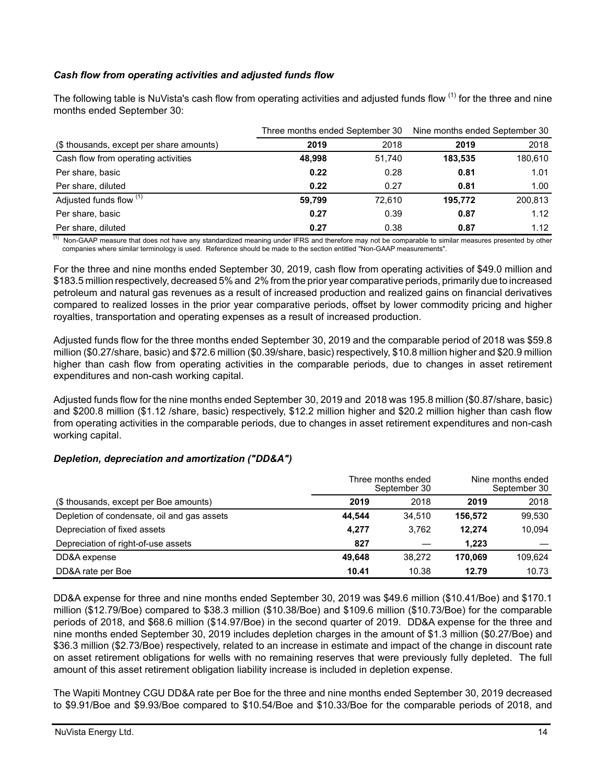# *Cash flow from operating activities and adjusted funds flow*

The following table is NuVista's cash flow from operating activities and adjusted funds flow <sup>(1)</sup> for the three and nine months ended September 30:

|                                          | Nine months ended September 30<br>Three months ended September 30 |        |         |         |
|------------------------------------------|-------------------------------------------------------------------|--------|---------|---------|
| (\$ thousands, except per share amounts) | 2019                                                              | 2018   | 2019    | 2018    |
| Cash flow from operating activities      | 48.998                                                            | 51,740 | 183.535 | 180,610 |
| Per share, basic                         | 0.22                                                              | 0.28   | 0.81    | 1.01    |
| Per share, diluted                       | 0.22                                                              | 0.27   | 0.81    | 1.00    |
| Adjusted funds flow (1)                  | 59.799                                                            | 72.610 | 195.772 | 200,813 |
| Per share, basic                         | 0.27                                                              | 0.39   | 0.87    | 1.12    |
| Per share, diluted                       | 0.27                                                              | 0.38   | 0.87    | 1.12    |

(1) Non-GAAP measure that does not have any standardized meaning under IFRS and therefore may not be comparable to similar measures presented by other companies where similar terminology is used. Reference should be made to the section entitled "Non-GAAP measurements".

For the three and nine months ended September 30, 2019, cash flow from operating activities of \$49.0 million and \$183.5 million respectively, decreased 5% and 2% from the prior year comparative periods, primarily due to increased petroleum and natural gas revenues as a result of increased production and realized gains on financial derivatives compared to realized losses in the prior year comparative periods, offset by lower commodity pricing and higher royalties, transportation and operating expenses as a result of increased production.

Adjusted funds flow for the three months ended September 30, 2019 and the comparable period of 2018 was \$59.8 million (\$0.27/share, basic) and \$72.6 million (\$0.39/share, basic) respectively, \$10.8 millionhigher and \$20.9 million higher than cash flow from operating activities in the comparable periods, due to changes in asset retirement expenditures and non-cash working capital.

Adjusted funds flow for the nine months ended September 30, 2019 and 2018 was 195.8 million (\$0.87/share, basic) and \$200.8 million (\$1.12 /share, basic) respectively, \$12.2 million higher and \$20.2 million higher than cash flow from operating activities in the comparable periods, due to changes in asset retirement expenditures and non-cash working capital.

### *Depletion, depreciation and amortization ("DD&A")*

|                                             |        | Three months ended<br>September 30 |         | Nine months ended<br>September 30 |
|---------------------------------------------|--------|------------------------------------|---------|-----------------------------------|
| (\$ thousands, except per Boe amounts)      | 2019   | 2018                               | 2019    | 2018                              |
| Depletion of condensate, oil and gas assets | 44.544 | 34.510                             | 156.572 | 99,530                            |
| Depreciation of fixed assets                | 4.277  | 3.762                              | 12.274  | 10.094                            |
| Depreciation of right-of-use assets         | 827    |                                    | 1.223   |                                   |
| DD&A expense                                | 49.648 | 38.272                             | 170.069 | 109.624                           |
| DD&A rate per Boe                           | 10.41  | 10.38                              | 12.79   | 10.73                             |

DD&A expense for three and nine months ended September 30, 2019 was \$49.6 million (\$10.41/Boe) and \$170.1 million (\$12.79/Boe) compared to \$38.3 million (\$10.38/Boe) and \$109.6 million (\$10.73/Boe) for the comparable periods of 2018, and \$68.6 million (\$14.97/Boe) in the second quarter of 2019. DD&A expense for the three and nine months ended September 30, 2019 includes depletion charges in the amount of \$1.3 million (\$0.27/Boe) and \$36.3 million (\$2.73/Boe) respectively, related to an increase in estimate and impact of the change in discount rate on asset retirement obligations for wells with no remaining reserves that were previously fully depleted. The full amount of this asset retirement obligation liability increase is included in depletion expense.

The Wapiti Montney CGU DD&A rate per Boe for the three and nine months ended September 30, 2019 decreased to \$9.91/Boe and \$9.93/Boe compared to \$10.54/Boe and \$10.33/Boe for the comparable periods of 2018, and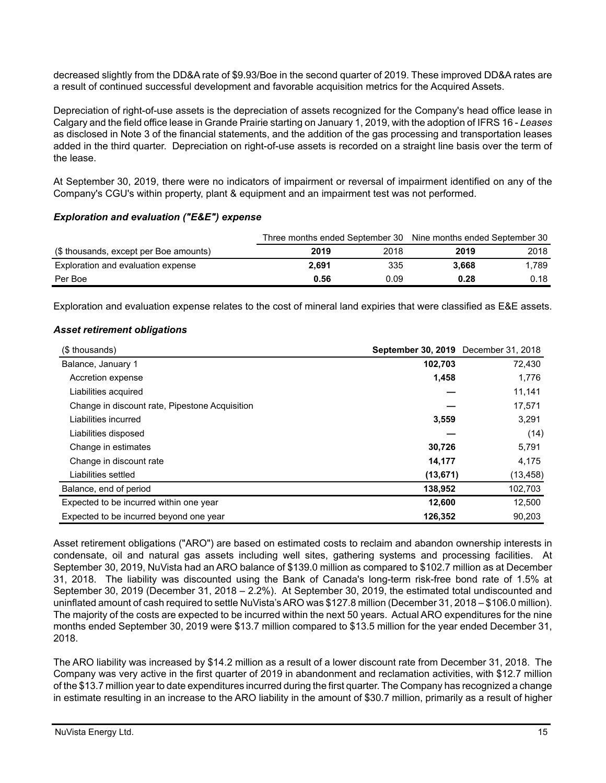decreased slightly from the DD&A rate of \$9.93/Boe in the second quarter of 2019. These improved DD&A rates are a result of continued successful development and favorable acquisition metrics for the Acquired Assets.

Depreciation of right-of-use assets is the depreciation of assets recognized for the Company's head office lease in Calgary and the field office lease in Grande Prairie starting on January 1, 2019, with the adoption of IFRS 16 - *Leases* as disclosed in Note 3 of the financial statements, and the addition of the gas processing and transportation leases added in the third quarter. Depreciation on right-of-use assets is recorded on a straight line basis over the term of the lease.

At September 30, 2019, there were no indicators of impairment or reversal of impairment identified on any of the Company's CGU's within property, plant & equipment and an impairment test was not performed.

### *Exploration and evaluation ("E&E") expense*

|                                        |       |      | Three months ended September 30 Nine months ended September 30 |       |  |  |
|----------------------------------------|-------|------|----------------------------------------------------------------|-------|--|--|
| (\$ thousands, except per Boe amounts) | 2019  | 2018 | 2019                                                           | 2018  |  |  |
| Exploration and evaluation expense     | 2.691 | 335  | 3.668                                                          | 1.789 |  |  |
| Per Boe                                | 0.56  | 0.09 | 0.28                                                           | 0.18  |  |  |

Exploration and evaluation expense relates to the cost of mineral land expiries that were classified as E&E assets.

# *Asset retirement obligations*

| (\$ thousands)                                 | September 30, 2019 December 31, 2018 |           |
|------------------------------------------------|--------------------------------------|-----------|
| Balance, January 1                             | 102,703                              | 72,430    |
| Accretion expense                              | 1,458                                | 1,776     |
| Liabilities acquired                           |                                      | 11,141    |
| Change in discount rate, Pipestone Acquisition |                                      | 17,571    |
| Liabilities incurred                           | 3,559                                | 3,291     |
| Liabilities disposed                           |                                      | (14)      |
| Change in estimates                            | 30,726                               | 5,791     |
| Change in discount rate                        | 14,177                               | 4,175     |
| Liabilities settled                            | (13, 671)                            | (13, 458) |
| Balance, end of period                         | 138,952                              | 102,703   |
| Expected to be incurred within one year        | 12,600                               | 12,500    |
| Expected to be incurred beyond one year        | 126,352                              | 90,203    |

Asset retirement obligations ("ARO") are based on estimated costs to reclaim and abandon ownership interests in condensate, oil and natural gas assets including well sites, gathering systems and processing facilities. At September 30, 2019, NuVista had an ARO balance of \$139.0 million as compared to \$102.7 million as at December 31, 2018. The liability was discounted using the Bank of Canada's long-term risk-free bond rate of 1.5% at September 30, 2019 (December 31, 2018 – 2.2%). At September 30, 2019, the estimated total undiscounted and uninflated amount of cash required to settle NuVista's ARO was \$127.8 million (December 31, 2018 – \$106.0 million). The majority of the costs are expected to be incurred within the next 50 years. Actual ARO expenditures for the nine months ended September 30, 2019 were \$13.7 million compared to \$13.5 million for the year ended December 31, 2018.

The ARO liability was increased by \$14.2 million as a result of a lower discount rate from December 31, 2018. The Company was very active in the first quarter of 2019 in abandonment and reclamation activities, with \$12.7 million of the \$13.7 million year to date expenditures incurred during the first quarter. The Company has recognized a change in estimate resulting in an increase to the ARO liability in the amount of \$30.7 million, primarily as a result of higher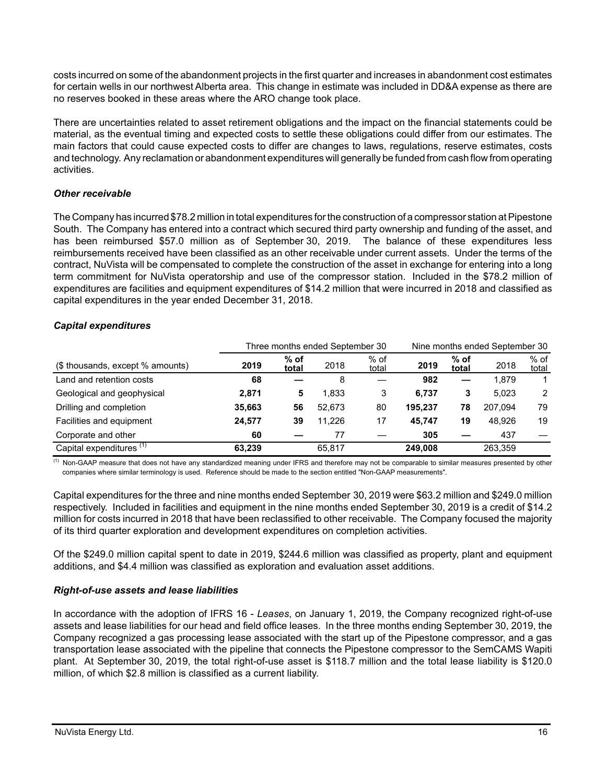costs incurred on some of the abandonment projects in the first quarter and increases in abandonment cost estimates for certain wells in our northwest Alberta area. This change in estimate was included in DD&A expense as there are no reserves booked in these areas where the ARO change took place.

There are uncertainties related to asset retirement obligations and the impact on the financial statements could be material, as the eventual timing and expected costs to settle these obligations could differ from our estimates. The main factors that could cause expected costs to differ are changes to laws, regulations, reserve estimates, costs and technology. Any reclamation or abandonment expenditures will generally be funded from cash flow from operating activities.

# *Other receivable*

The Company has incurred \$78.2 million in total expenditures for the construction of a compressor station at Pipestone South. The Company has entered into a contract which secured third party ownership and funding of the asset, and has been reimbursed \$57.0 million as of September 30, 2019. The balance of these expenditures less reimbursements received have been classified as an other receivable under current assets. Under the terms of the contract, NuVista will be compensated to complete the construction of the asset in exchange for entering into a long term commitment for NuVista operatorship and use of the compressor station. Included in the \$78.2 million of expenditures are facilities and equipment expenditures of \$14.2 million that were incurred in 2018 and classified as capital expenditures in the year ended December 31, 2018.

### *Capital expenditures*

|                                     | Three months ended September 30<br>Nine months ended September 30 |                 |        |                 |         |                 |         |                 |
|-------------------------------------|-------------------------------------------------------------------|-----------------|--------|-----------------|---------|-----------------|---------|-----------------|
| (\$ thousands, except % amounts)    | 2019                                                              | $%$ of<br>total | 2018   | $%$ of<br>total | 2019    | $%$ of<br>total | 2018    | $%$ of<br>total |
| Land and retention costs            | 68                                                                |                 | 8      |                 | 982     |                 | 1.879   |                 |
| Geological and geophysical          | 2,871                                                             | 5               | 1.833  | 3               | 6.737   | 3               | 5.023   | $\mathcal{P}$   |
| Drilling and completion             | 35.663                                                            | 56              | 52.673 | 80              | 195.237 | 78              | 207.094 | 79              |
| Facilities and equipment            | 24,577                                                            | 39              | 11.226 | 17              | 45.747  | 19              | 48.926  | 19              |
| Corporate and other                 | 60                                                                |                 | 77     |                 | 305     |                 | 437     |                 |
| Capital expenditures <sup>(1)</sup> | 63.239                                                            |                 | 65.817 |                 | 249,008 |                 | 263.359 |                 |

<sup>(1)</sup> Non-GAAP measure that does not have any standardized meaning under IFRS and therefore may not be comparable to similar measures presented by other companies where similar terminology is used. Reference should be made to the section entitled "Non-GAAP measurements".

Capital expenditures for the three and nine months ended September 30, 2019 were \$63.2 million and \$249.0 million respectively. Included in facilities and equipment in the nine months ended September 30, 2019 is a credit of \$14.2 million for costs incurred in 2018 that have been reclassified to other receivable. The Company focused the majority of its third quarter exploration and development expenditures on completion activities.

Of the \$249.0 million capital spent to date in 2019, \$244.6 million was classified as property, plant and equipment additions, and \$4.4 million was classified as exploration and evaluation asset additions.

### *Right-of-use assets and lease liabilities*

In accordance with the adoption of IFRS 16 - *Leases*, on January 1, 2019, the Company recognized right-of-use assets and lease liabilities for our head and field office leases. In the three months ending September 30, 2019, the Company recognized a gas processing lease associated with the start up of the Pipestone compressor, and a gas transportation lease associated with the pipeline that connects the Pipestone compressor to the SemCAMS Wapiti plant. At September 30, 2019, the total right-of-use asset is \$118.7 million and the total lease liability is \$120.0 million, of which \$2.8 million is classified as a current liability.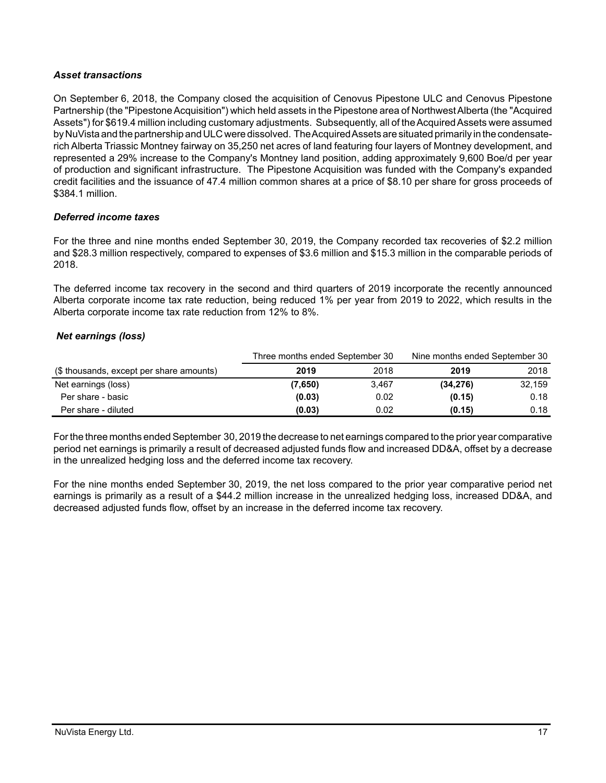### *Asset transactions*

On September 6, 2018, the Company closed the acquisition of Cenovus Pipestone ULC and Cenovus Pipestone Partnership (the "Pipestone Acquisition") which held assets in the Pipestone area of Northwest Alberta (the "Acquired Assets") for \$619.4 million including customary adjustments. Subsequently, all of the Acquired Assets were assumed by NuVista and the partnership and ULC were dissolved. The Acquired Assets are situated primarily in the condensaterich Alberta Triassic Montney fairway on 35,250 net acres of land featuring four layers of Montney development, and represented a 29% increase to the Company's Montney land position, adding approximately 9,600 Boe/d per year of production and significant infrastructure. The Pipestone Acquisition was funded with the Company's expanded credit facilities and the issuance of 47.4 million common shares at a price of \$8.10 per share for gross proceeds of \$384.1 million.

# *Deferred income taxes*

For the three and nine months ended September 30, 2019, the Company recorded tax recoveries of \$2.2 million and \$28.3 million respectively, compared to expenses of \$3.6 million and \$15.3 million in the comparable periods of 2018.

The deferred income tax recovery in the second and third quarters of 2019 incorporate the recently announced Alberta corporate income tax rate reduction, being reduced 1% per year from 2019 to 2022, which results in the Alberta corporate income tax rate reduction from 12% to 8%.

# *Net earnings (loss)*

|                                          |         | Nine months ended September 30<br>Three months ended September 30 |           |        |
|------------------------------------------|---------|-------------------------------------------------------------------|-----------|--------|
| (\$ thousands, except per share amounts) | 2019    | 2018                                                              | 2019      | 2018   |
| Net earnings (loss)                      | (7,650) | 3.467                                                             | (34, 276) | 32.159 |
| Per share - basic                        | (0.03)  | 0.02                                                              | (0.15)    | 0.18   |
| Per share - diluted                      | (0.03)  | 0.02                                                              | (0.15)    | 0.18   |

For the three months ended September 30, 2019 the decrease to net earnings compared to the prior year comparative period net earnings is primarily a result of decreased adjusted funds flow and increased DD&A, offset by a decrease in the unrealized hedging loss and the deferred income tax recovery.

For the nine months ended September 30, 2019, the net loss compared to the prior year comparative period net earnings is primarily as a result of a \$44.2 million increase in the unrealized hedging loss, increased DD&A, and decreased adjusted funds flow, offset by an increase in the deferred income tax recovery.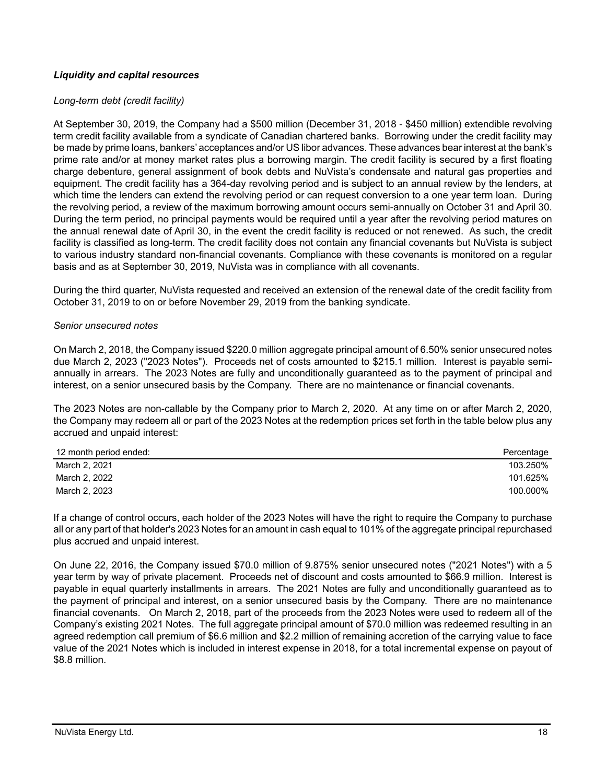# *Liquidity and capital resources*

#### *Long-term debt (credit facility)*

At September 30, 2019, the Company had a \$500 million (December 31, 2018 - \$450 million) extendible revolving term credit facility available from a syndicate of Canadian chartered banks. Borrowing under the credit facility may be made by prime loans, bankers' acceptances and/or US libor advances. These advances bear interest at the bank's prime rate and/or at money market rates plus a borrowing margin. The credit facility is secured by a first floating charge debenture, general assignment of book debts and NuVista's condensate and natural gas properties and equipment. The credit facility has a 364-day revolving period and is subject to an annual review by the lenders, at which time the lenders can extend the revolving period or can request conversion to a one year term loan. During the revolving period, a review of the maximum borrowing amount occurs semi-annually on October 31 and April 30. During the term period, no principal payments would be required until a year after the revolving period matures on the annual renewal date of April 30, in the event the credit facility is reduced or not renewed. As such, the credit facility is classified as long-term. The credit facility does not contain any financial covenants but NuVista is subject to various industry standard non-financial covenants. Compliance with these covenants is monitored on a regular basis and as at September 30, 2019, NuVista was in compliance with all covenants.

During the third quarter, NuVista requested and received an extension of the renewal date of the credit facility from October 31, 2019 to on or before November 29, 2019 from the banking syndicate.

#### *Senior unsecured notes*

On March 2, 2018, the Company issued \$220.0 million aggregate principal amount of 6.50% senior unsecured notes due March 2, 2023 ("2023 Notes"). Proceeds net of costs amounted to \$215.1 million. Interest is payable semiannually in arrears. The 2023 Notes are fully and unconditionally guaranteed as to the payment of principal and interest, on a senior unsecured basis by the Company. There are no maintenance or financial covenants.

The 2023 Notes are non-callable by the Company prior to March 2, 2020. At any time on or after March 2, 2020, the Company may redeem all or part of the 2023 Notes at the redemption prices set forth in the table below plus any accrued and unpaid interest:

| 12 month period ended: | Percentage |
|------------------------|------------|
| March 2, 2021          | 103.250%   |
| March 2, 2022          | 101.625%   |
| March 2, 2023          | 100.000%   |

If a change of control occurs, each holder of the 2023 Notes will have the right to require the Company to purchase all or any part of that holder's 2023 Notes for an amount in cash equal to 101% of the aggregate principal repurchased plus accrued and unpaid interest.

On June 22, 2016, the Company issued \$70.0 million of 9.875% senior unsecured notes ("2021 Notes") with a 5 year term by way of private placement. Proceeds net of discount and costs amounted to \$66.9 million. Interest is payable in equal quarterly installments in arrears. The 2021 Notes are fully and unconditionally guaranteed as to the payment of principal and interest, on a senior unsecured basis by the Company. There are no maintenance financial covenants. On March 2, 2018, part of the proceeds from the 2023 Notes were used to redeem all of the Company's existing 2021 Notes. The full aggregate principal amount of \$70.0 million was redeemed resulting in an agreed redemption call premium of \$6.6 million and \$2.2 million of remaining accretion of the carrying value to face value of the 2021 Notes which is included in interest expense in 2018, for a total incremental expense on payout of \$8.8 million.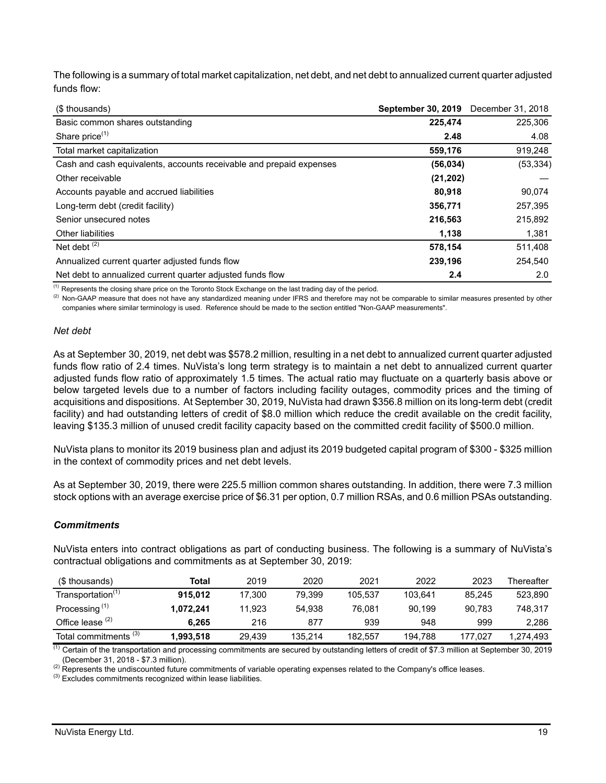The following is a summary of total market capitalization, net debt, and net debt to annualized current quarter adjusted funds flow:

| (\$ thousands)                                                      | <b>September 30, 2019</b> | December 31, 2018 |
|---------------------------------------------------------------------|---------------------------|-------------------|
| Basic common shares outstanding                                     | 225,474                   | 225,306           |
| Share price <sup>(1)</sup>                                          | 2.48                      | 4.08              |
| Total market capitalization                                         | 559,176                   | 919,248           |
| Cash and cash equivalents, accounts receivable and prepaid expenses | (56, 034)                 | (53, 334)         |
| Other receivable                                                    | (21, 202)                 |                   |
| Accounts payable and accrued liabilities                            | 80.918                    | 90,074            |
| Long-term debt (credit facility)                                    | 356,771                   | 257,395           |
| Senior unsecured notes                                              | 216,563                   | 215,892           |
| Other liabilities                                                   | 1,138                     | 1,381             |
| Net debt $(2)$                                                      | 578,154                   | 511,408           |
| Annualized current quarter adjusted funds flow                      | 239,196                   | 254,540           |
| Net debt to annualized current quarter adjusted funds flow          | 2.4                       | 2.0               |

<sup>(1)</sup> Represents the closing share price on the Toronto Stock Exchange on the last trading day of the period.

<sup>(2)</sup> Non-GAAP measure that does not have any standardized meaning under IFRS and therefore may not be comparable to similar measures presented by other companies where similar terminology is used. Reference should be made to the section entitled "Non-GAAP measurements".

#### *Net debt*

As at September 30, 2019, net debt was \$578.2 million, resulting in a net debt to annualized current quarter adjusted funds flow ratio of 2.4 times. NuVista's long term strategy is to maintain a net debt to annualized current quarter adjusted funds flow ratio of approximately 1.5 times. The actual ratio may fluctuate on a quarterly basis above or below targeted levels due to a number of factors including facility outages, commodity prices and the timing of acquisitions and dispositions. At September 30, 2019, NuVista had drawn \$356.8 million on its long-term debt (credit facility) and had outstanding letters of credit of \$8.0 million which reduce the credit available on the credit facility, leaving \$135.3 million of unused credit facility capacity based on the committed credit facility of \$500.0 million.

NuVista plans to monitor its 2019 business plan and adjust its 2019 budgeted capital program of \$300 - \$325 million in the context of commodity prices and net debt levels.

As at September 30, 2019, there were 225.5 million common shares outstanding. In addition, there were 7.3 million stock options with an average exercise price of \$6.31 per option, 0.7 million RSAs, and 0.6 million PSAs outstanding.

### *Commitments*

NuVista enters into contract obligations as part of conducting business. The following is a summary of NuVista's contractual obligations and commitments as at September 30, 2019:

| (\$ thousands)                   | Total     | 2019   | 2020    | 2021    | 2022    | 2023    | Thereafter |
|----------------------------------|-----------|--------|---------|---------|---------|---------|------------|
| Transportation <sup>(1)</sup>    | 915.012   | 17.300 | 79.399  | 105.537 | 103.641 | 85.245  | 523.890    |
| Processing <sup>(1)</sup>        | 1.072.241 | 11.923 | 54.938  | 76.081  | 90.199  | 90.783  | 748.317    |
| Office lease $(2)$               | 6.265     | 216    | 877     | 939     | 948     | 999     | 2.286      |
| Total commitments <sup>(3)</sup> | 1,993,518 | 29.439 | 135.214 | 182.557 | 194.788 | 177.027 | 1,274,493  |

<sup>(1)</sup> Certain of the transportation and processing commitments are secured by outstanding letters of credit of \$7.3 million at September 30, 2019 (December 31, 2018 - \$7.3 million).

<sup>(2)</sup> Represents the undiscounted future commitments of variable operating expenses related to the Company's office leases.

 $<sup>(3)</sup>$  Excludes commitments recognized within lease liabilities.</sup>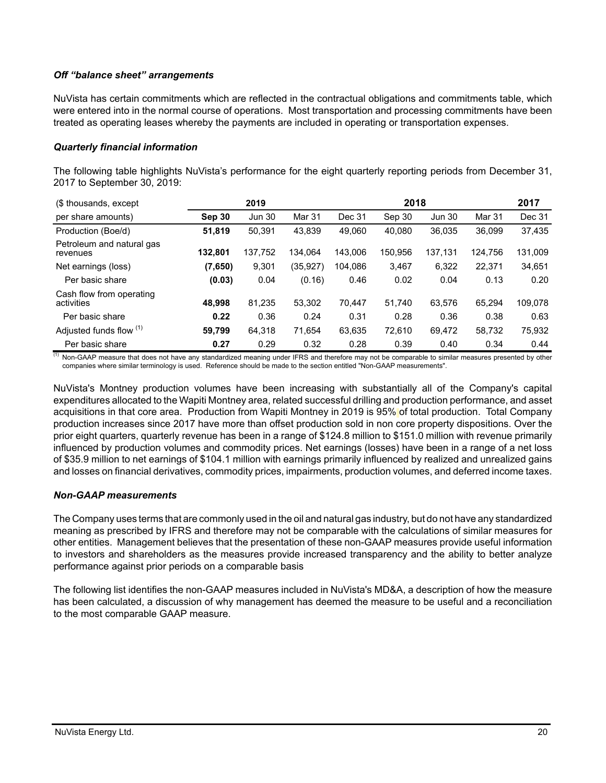### *Off "balance sheet" arrangements*

NuVista has certain commitments which are reflected in the contractual obligations and commitments table, which were entered into in the normal course of operations. Most transportation and processing commitments have been treated as operating leases whereby the payments are included in operating or transportation expenses.

#### *Quarterly financial information*

The following table highlights NuVista's performance for the eight quarterly reporting periods from December 31, 2017 to September 30, 2019:

| (\$ thousands, except                  | 2018<br>2019 |               |               |         | 2017    |               |         |         |
|----------------------------------------|--------------|---------------|---------------|---------|---------|---------------|---------|---------|
| per share amounts)                     | Sep 30       | <b>Jun 30</b> | <b>Mar 31</b> | Dec 31  | Sep 30  | <b>Jun 30</b> | Mar 31  | Dec 31  |
| Production (Boe/d)                     | 51,819       | 50,391        | 43.839        | 49.060  | 40.080  | 36,035        | 36.099  | 37,435  |
| Petroleum and natural gas<br>revenues  | 132.801      | 137.752       | 134.064       | 143.006 | 150.956 | 137,131       | 124.756 | 131,009 |
| Net earnings (loss)                    | (7,650)      | 9,301         | (35,927)      | 104.086 | 3,467   | 6,322         | 22.371  | 34,651  |
| Per basic share                        | (0.03)       | 0.04          | (0.16)        | 0.46    | 0.02    | 0.04          | 0.13    | 0.20    |
| Cash flow from operating<br>activities | 48.998       | 81.235        | 53,302        | 70.447  | 51.740  | 63,576        | 65.294  | 109,078 |
| Per basic share                        | 0.22         | 0.36          | 0.24          | 0.31    | 0.28    | 0.36          | 0.38    | 0.63    |
| Adjusted funds flow (1)                | 59,799       | 64,318        | 71.654        | 63,635  | 72.610  | 69,472        | 58,732  | 75,932  |
| Per basic share                        | 0.27         | 0.29          | 0.32          | 0.28    | 0.39    | 0.40          | 0.34    | 0.44    |

(1) Non-GAAP measure that does not have any standardized meaning under IFRS and therefore may not be comparable to similar measures presented by other companies where similar terminology is used. Reference should be made to the section entitled "Non-GAAP measurements".

NuVista's Montney production volumes have been increasing with substantially all of the Company's capital expenditures allocated to the Wapiti Montney area, related successful drilling and production performance, and asset acquisitions in that core area. Production from Wapiti Montney in 2019 is 95% of total production. Total Company production increases since 2017 have more than offset production sold in non core property dispositions. Over the prior eight quarters, quarterly revenue has been in a range of \$124.8 million to \$151.0 million with revenue primarily influenced by production volumes and commodity prices. Net earnings (losses) have been in a range of a net loss of \$35.9 million to net earnings of \$104.1 million with earnings primarily influenced by realized and unrealized gains and losses on financial derivatives, commodity prices, impairments, production volumes, and deferred income taxes.

### *Non-GAAP measurements*

The Company uses terms that are commonly used in the oil and natural gas industry, but do not have any standardized meaning as prescribed by IFRS and therefore may not be comparable with the calculations of similar measures for other entities. Management believes that the presentation of these non-GAAP measures provide useful information to investors and shareholders as the measures provide increased transparency and the ability to better analyze performance against prior periods on a comparable basis

The following list identifies the non-GAAP measures included in NuVista's MD&A, a description of how the measure has been calculated, a discussion of why management has deemed the measure to be useful and a reconciliation to the most comparable GAAP measure.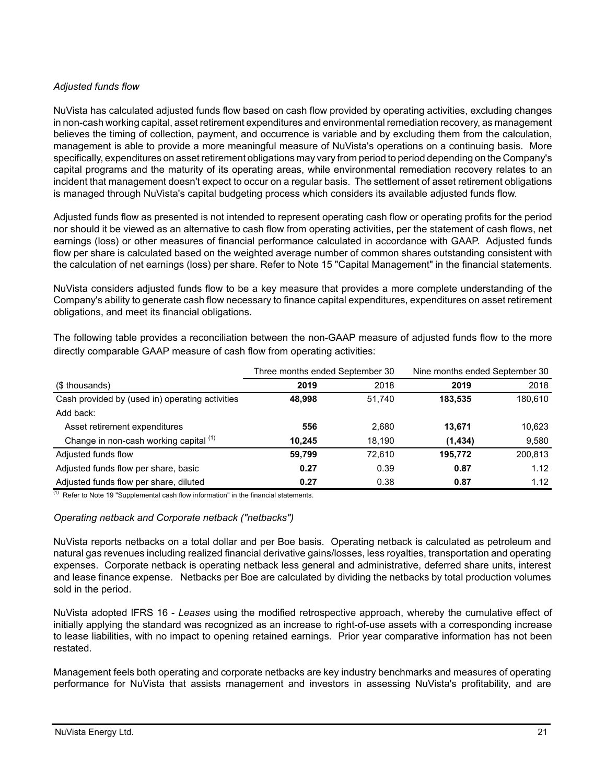# *Adjusted funds flow*

NuVista has calculated adjusted funds flow based on cash flow provided by operating activities, excluding changes in non-cash working capital, asset retirement expenditures and environmental remediation recovery, as management believes the timing of collection, payment, and occurrence is variable and by excluding them from the calculation, management is able to provide a more meaningful measure of NuVista's operations on a continuing basis. More specifically, expenditures on asset retirement obligations may vary from period to period depending on the Company's capital programs and the maturity of its operating areas, while environmental remediation recovery relates to an incident that management doesn't expect to occur on a regular basis. The settlement of asset retirement obligations is managed through NuVista's capital budgeting process which considers its available adjusted funds flow.

Adjusted funds flow as presented is not intended to represent operating cash flow or operating profits for the period nor should it be viewed as an alternative to cash flow from operating activities, per the statement of cash flows, net earnings (loss) or other measures of financial performance calculated in accordance with GAAP. Adjusted funds flow per share is calculated based on the weighted average number of common shares outstanding consistent with the calculation of net earnings (loss) per share. Refer to Note 15 "Capital Management" in the financial statements.

NuVista considers adjusted funds flow to be a key measure that provides a more complete understanding of the Company's ability to generate cash flow necessary to finance capital expenditures, expenditures on asset retirement obligations, and meet its financial obligations.

The following table provides a reconciliation between the non-GAAP measure of adjusted funds flow to the more directly comparable GAAP measure of cash flow from operating activities:

|                                                 | Three months ended September 30 |        | Nine months ended September 30 |         |  |
|-------------------------------------------------|---------------------------------|--------|--------------------------------|---------|--|
| (\$ thousands)                                  | 2019                            | 2018   | 2019                           | 2018    |  |
| Cash provided by (used in) operating activities | 48.998                          | 51.740 | 183,535                        | 180,610 |  |
| Add back:                                       |                                 |        |                                |         |  |
| Asset retirement expenditures                   | 556                             | 2,680  | 13,671                         | 10,623  |  |
| Change in non-cash working capital (1)          | 10.245                          | 18,190 | (1,434)                        | 9,580   |  |
| Adjusted funds flow                             | 59,799                          | 72.610 | 195,772                        | 200,813 |  |
| Adjusted funds flow per share, basic            | 0.27                            | 0.39   | 0.87                           | 1.12    |  |
| Adjusted funds flow per share, diluted          | 0.27                            | 0.38   | 0.87                           | 1.12    |  |

 $(1)$  Refer to Note 19 "Supplemental cash flow information" in the financial statements.

### *Operating netback and Corporate netback ("netbacks")*

NuVista reports netbacks on a total dollar and per Boe basis. Operating netback is calculated as petroleum and natural gas revenues including realized financial derivative gains/losses, less royalties, transportation and operating expenses. Corporate netback is operating netback less general and administrative, deferred share units, interest and lease finance expense. Netbacks per Boe are calculated by dividing the netbacks by total production volumes sold in the period.

NuVista adopted IFRS 16 - *Leases* using the modified retrospective approach, whereby the cumulative effect of initially applying the standard was recognized as an increase to right-of-use assets with a corresponding increase to lease liabilities, with no impact to opening retained earnings. Prior year comparative information has not been restated.

Management feels both operating and corporate netbacks are key industry benchmarks and measures of operating performance for NuVista that assists management and investors in assessing NuVista's profitability, and are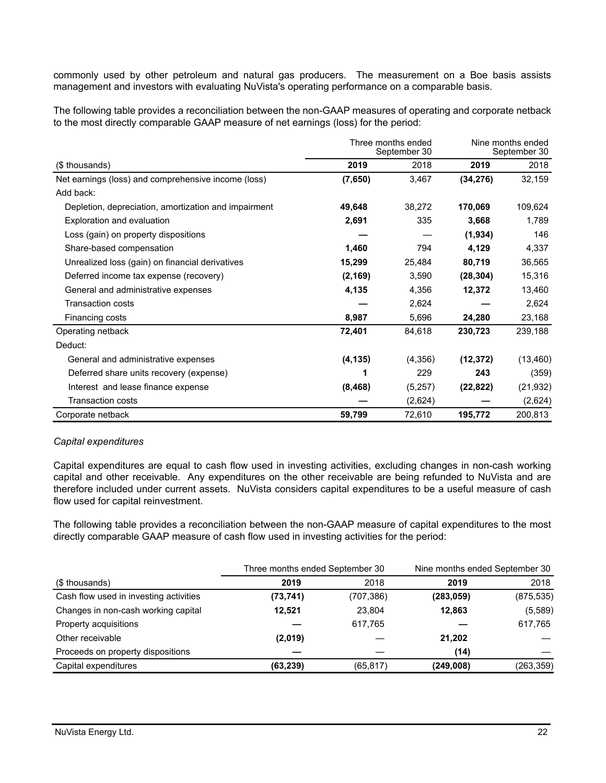commonly used by other petroleum and natural gas producers. The measurement on a Boe basis assists management and investors with evaluating NuVista's operating performance on a comparable basis.

The following table provides a reconciliation between the non-GAAP measures of operating and corporate netback to the most directly comparable GAAP measure of net earnings (loss) for the period:

|                                                      | Three months ended<br>September 30 | Nine months ended<br>September 30 |           |           |
|------------------------------------------------------|------------------------------------|-----------------------------------|-----------|-----------|
| (\$ thousands)                                       | 2019                               | 2018                              | 2019      | 2018      |
| Net earnings (loss) and comprehensive income (loss)  | (7,650)                            | 3,467                             | (34, 276) | 32,159    |
| Add back:                                            |                                    |                                   |           |           |
| Depletion, depreciation, amortization and impairment | 49,648                             | 38,272                            | 170,069   | 109,624   |
| Exploration and evaluation                           | 2,691                              | 335                               | 3,668     | 1,789     |
| Loss (gain) on property dispositions                 |                                    |                                   | (1,934)   | 146       |
| Share-based compensation                             | 1,460                              | 794                               | 4,129     | 4,337     |
| Unrealized loss (gain) on financial derivatives      | 15,299                             | 25,484                            | 80,719    | 36,565    |
| Deferred income tax expense (recovery)               | (2, 169)                           | 3,590                             | (28, 304) | 15,316    |
| General and administrative expenses                  | 4,135                              | 4,356                             | 12,372    | 13,460    |
| Transaction costs                                    |                                    | 2,624                             |           | 2,624     |
| Financing costs                                      | 8,987                              | 5,696                             | 24,280    | 23,168    |
| Operating netback                                    | 72,401                             | 84,618                            | 230,723   | 239,188   |
| Deduct:                                              |                                    |                                   |           |           |
| General and administrative expenses                  | (4, 135)                           | (4,356)                           | (12, 372) | (13, 460) |
| Deferred share units recovery (expense)              | 1                                  | 229                               | 243       | (359)     |
| Interest and lease finance expense                   | (8, 468)                           | (5,257)                           | (22, 822) | (21, 932) |
| <b>Transaction costs</b>                             |                                    | (2,624)                           |           | (2,624)   |
| Corporate netback                                    | 59,799                             | 72,610                            | 195,772   | 200,813   |

### *Capital expenditures*

Capital expenditures are equal to cash flow used in investing activities, excluding changes in non-cash working capital and other receivable. Any expenditures on the other receivable are being refunded to NuVista and are therefore included under current assets. NuVista considers capital expenditures to be a useful measure of cash flow used for capital reinvestment.

The following table provides a reconciliation between the non-GAAP measure of capital expenditures to the most directly comparable GAAP measure of cash flow used in investing activities for the period:

|           |           | Nine months ended September 30  |            |
|-----------|-----------|---------------------------------|------------|
| 2019      | 2018      | 2019                            | 2018       |
| (73, 741) | (707,386) | (283, 059)                      | (875, 535) |
| 12.521    | 23.804    | 12.863                          | (5,589)    |
|           | 617,765   |                                 | 617,765    |
| (2,019)   |           | 21,202                          |            |
|           |           | (14)                            |            |
| (63, 239) | (65, 817) | (249,008)                       | (263, 359) |
|           |           | Three months ended September 30 |            |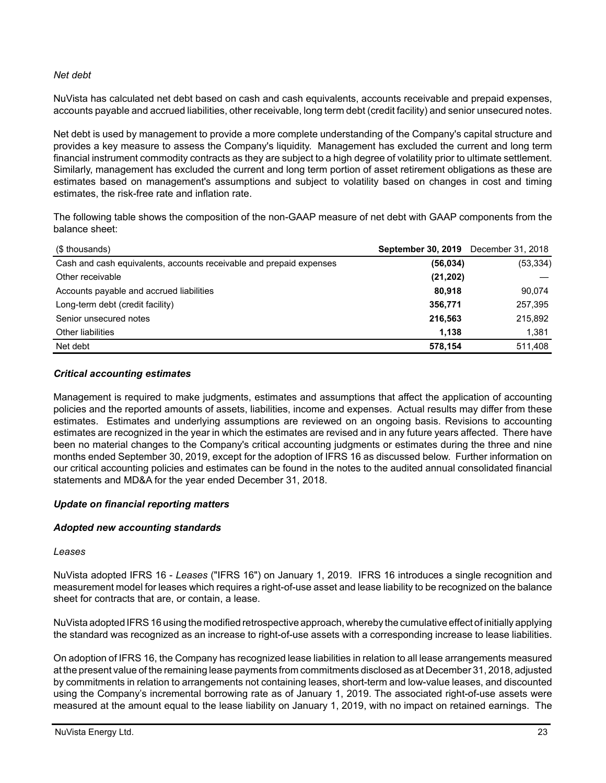### *Net debt*

NuVista has calculated net debt based on cash and cash equivalents, accounts receivable and prepaid expenses, accounts payable and accrued liabilities, other receivable, long term debt (credit facility) and senior unsecured notes.

Net debt is used by management to provide a more complete understanding of the Company's capital structure and provides a key measure to assess the Company's liquidity. Management has excluded the current and long term financial instrument commodity contracts as they are subject to a high degree of volatility prior to ultimate settlement. Similarly, management has excluded the current and long term portion of asset retirement obligations as these are estimates based on management's assumptions and subject to volatility based on changes in cost and timing estimates, the risk-free rate and inflation rate.

The following table shows the composition of the non-GAAP measure of net debt with GAAP components from the balance sheet:

| (\$ thousands)                                                      | <b>September 30, 2019</b> December 31, 2018 |           |
|---------------------------------------------------------------------|---------------------------------------------|-----------|
| Cash and cash equivalents, accounts receivable and prepaid expenses | (56, 034)                                   | (53, 334) |
| Other receivable                                                    | (21, 202)                                   |           |
| Accounts payable and accrued liabilities                            | 80.918                                      | 90,074    |
| Long-term debt (credit facility)                                    | 356.771                                     | 257,395   |
| Senior unsecured notes                                              | 216,563                                     | 215,892   |
| Other liabilities                                                   | 1.138                                       | 1,381     |
| Net debt                                                            | 578.154                                     | 511,408   |

#### *Critical accounting estimates*

Management is required to make judgments, estimates and assumptions that affect the application of accounting policies and the reported amounts of assets, liabilities, income and expenses. Actual results may differ from these estimates. Estimates and underlying assumptions are reviewed on an ongoing basis. Revisions to accounting estimates are recognized in the year in which the estimates are revised and in any future years affected. There have been no material changes to the Company's critical accounting judgments or estimates during the three and nine months ended September 30, 2019, except for the adoption of IFRS 16 as discussed below. Further information on our critical accounting policies and estimates can be found in the notes to the audited annual consolidated financial statements and MD&A for the year ended December 31, 2018.

### *Update on financial reporting matters*

### *Adopted new accounting standards*

#### *Leases*

NuVista adopted IFRS 16 - *Leases* ("IFRS 16") on January 1, 2019. IFRS 16 introduces a single recognition and measurement model for leases which requires a right-of-use asset and lease liability to be recognized on the balance sheet for contracts that are, or contain, a lease.

NuVista adopted IFRS 16 using the modified retrospective approach, whereby the cumulative effect of initially applying the standard was recognized as an increase to right-of-use assets with a corresponding increase to lease liabilities.

On adoption of IFRS 16, the Company has recognized lease liabilities in relation to all lease arrangements measured at the present value of the remaining lease payments from commitments disclosed as at December 31, 2018, adjusted by commitments in relation to arrangements not containing leases, short-term and low-value leases, and discounted using the Company's incremental borrowing rate as of January 1, 2019. The associated right-of-use assets were measured at the amount equal to the lease liability on January 1, 2019, with no impact on retained earnings. The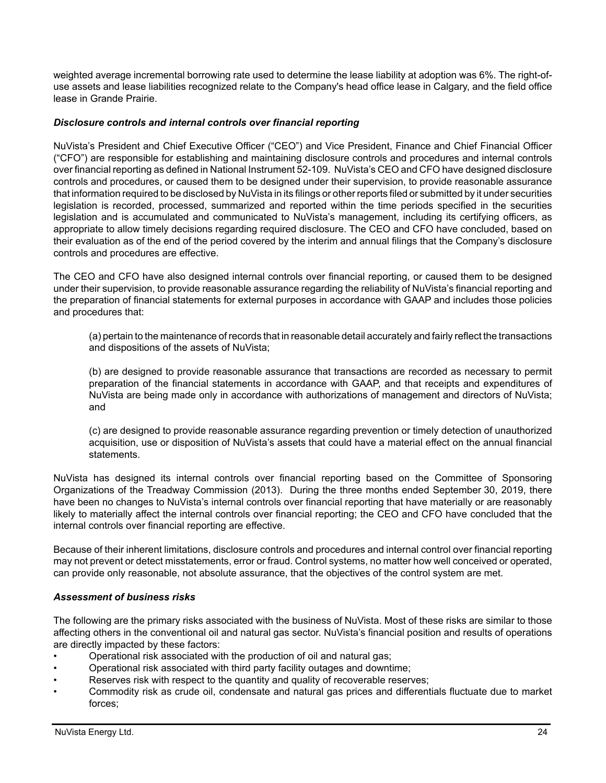weighted average incremental borrowing rate used to determine the lease liability at adoption was 6%. The right-ofuse assets and lease liabilities recognized relate to the Company's head office lease in Calgary, and the field office lease in Grande Prairie.

#### *Disclosure controls and internal controls over financial reporting*

NuVista's President and Chief Executive Officer ("CEO") and Vice President, Finance and Chief Financial Officer ("CFO") are responsible for establishing and maintaining disclosure controls and procedures and internal controls over financial reporting as defined in National Instrument 52-109. NuVista's CEO and CFO have designed disclosure controls and procedures, or caused them to be designed under their supervision, to provide reasonable assurance that information required to be disclosed by NuVista in its filings or other reports filed or submitted by it under securities legislation is recorded, processed, summarized and reported within the time periods specified in the securities legislation and is accumulated and communicated to NuVista's management, including its certifying officers, as appropriate to allow timely decisions regarding required disclosure. The CEO and CFO have concluded, based on their evaluation as of the end of the period covered by the interim and annual filings that the Company's disclosure controls and procedures are effective.

The CEO and CFO have also designed internal controls over financial reporting, or caused them to be designed under their supervision, to provide reasonable assurance regarding the reliability of NuVista's financial reporting and the preparation of financial statements for external purposes in accordance with GAAP and includes those policies and procedures that:

(a) pertain to the maintenance of records that in reasonable detail accurately and fairly reflect the transactions and dispositions of the assets of NuVista;

(b) are designed to provide reasonable assurance that transactions are recorded as necessary to permit preparation of the financial statements in accordance with GAAP, and that receipts and expenditures of NuVista are being made only in accordance with authorizations of management and directors of NuVista; and

(c) are designed to provide reasonable assurance regarding prevention or timely detection of unauthorized acquisition, use or disposition of NuVista's assets that could have a material effect on the annual financial statements.

NuVista has designed its internal controls over financial reporting based on the Committee of Sponsoring Organizations of the Treadway Commission (2013). During the three months ended September 30, 2019, there have been no changes to NuVista's internal controls over financial reporting that have materially or are reasonably likely to materially affect the internal controls over financial reporting; the CEO and CFO have concluded that the internal controls over financial reporting are effective.

Because of their inherent limitations, disclosure controls and procedures and internal control over financial reporting may not prevent or detect misstatements, error or fraud. Control systems, no matter how well conceived or operated, can provide only reasonable, not absolute assurance, that the objectives of the control system are met.

#### *Assessment of business risks*

The following are the primary risks associated with the business of NuVista. Most of these risks are similar to those affecting others in the conventional oil and natural gas sector. NuVista's financial position and results of operations are directly impacted by these factors:

- Operational risk associated with the production of oil and natural gas;
- Operational risk associated with third party facility outages and downtime;
- Reserves risk with respect to the quantity and quality of recoverable reserves;
- Commodity risk as crude oil, condensate and natural gas prices and differentials fluctuate due to market forces;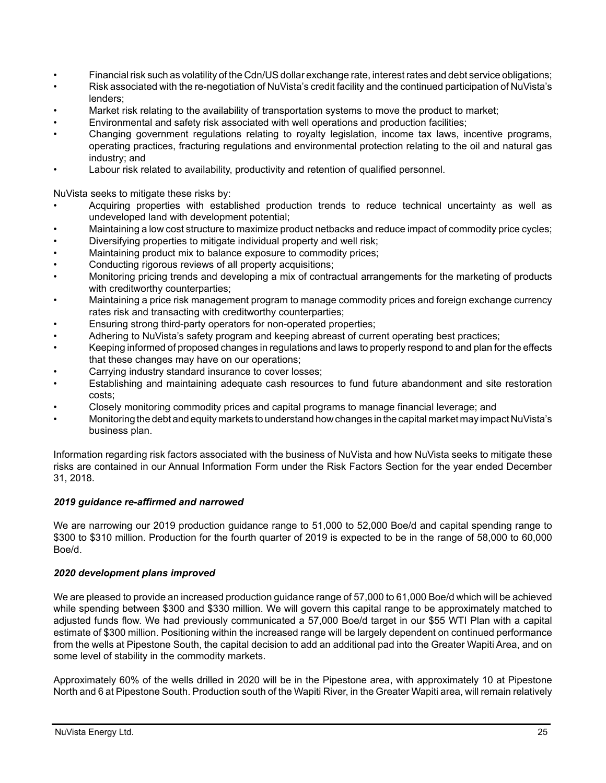- Financial risk such as volatility of the Cdn/US dollar exchange rate, interest rates and debt service obligations;
- Risk associated with the re-negotiation of NuVista's credit facility and the continued participation of NuVista's lenders;
- Market risk relating to the availability of transportation systems to move the product to market;
- Environmental and safety risk associated with well operations and production facilities;
- Changing government regulations relating to royalty legislation, income tax laws, incentive programs, operating practices, fracturing regulations and environmental protection relating to the oil and natural gas industry; and
- Labour risk related to availability, productivity and retention of qualified personnel.

NuVista seeks to mitigate these risks by:

- Acquiring properties with established production trends to reduce technical uncertainty as well as undeveloped land with development potential;
- Maintaining a low cost structure to maximize product netbacks and reduce impact of commodity price cycles;
- Diversifying properties to mitigate individual property and well risk;
- Maintaining product mix to balance exposure to commodity prices;
- Conducting rigorous reviews of all property acquisitions;
- Monitoring pricing trends and developing a mix of contractual arrangements for the marketing of products with creditworthy counterparties;
- Maintaining a price risk management program to manage commodity prices and foreign exchange currency rates risk and transacting with creditworthy counterparties;
- Ensuring strong third-party operators for non-operated properties;
- Adhering to NuVista's safety program and keeping abreast of current operating best practices;
- Keeping informed of proposed changes in regulations and laws to properly respond to and plan for the effects that these changes may have on our operations;
- Carrying industry standard insurance to cover losses;
- Establishing and maintaining adequate cash resources to fund future abandonment and site restoration costs;
- Closely monitoring commodity prices and capital programs to manage financial leverage; and
- Monitoring the debt and equity markets to understand how changes in the capital market may impact NuVista's business plan.

Information regarding risk factors associated with the business of NuVista and how NuVista seeks to mitigate these risks are contained in our Annual Information Form under the Risk Factors Section for the year ended December 31, 2018.

### *2019 guidance re-affirmed and narrowed*

We are narrowing our 2019 production guidance range to 51,000 to 52,000 Boe/d and capital spending range to \$300 to \$310 million. Production for the fourth quarter of 2019 is expected to be in the range of 58,000 to 60,000 Boe/d.

### *2020 development plans improved*

We are pleased to provide an increased production guidance range of 57,000 to 61,000 Boe/d which will be achieved while spending between \$300 and \$330 million. We will govern this capital range to be approximately matched to adjusted funds flow. We had previously communicated a 57,000 Boe/d target in our \$55 WTI Plan with a capital estimate of \$300 million. Positioning within the increased range will be largely dependent on continued performance from the wells at Pipestone South, the capital decision to add an additional pad into the Greater Wapiti Area, and on some level of stability in the commodity markets.

Approximately 60% of the wells drilled in 2020 will be in the Pipestone area, with approximately 10 at Pipestone North and 6 at Pipestone South. Production south of the Wapiti River, in the Greater Wapiti area, will remain relatively